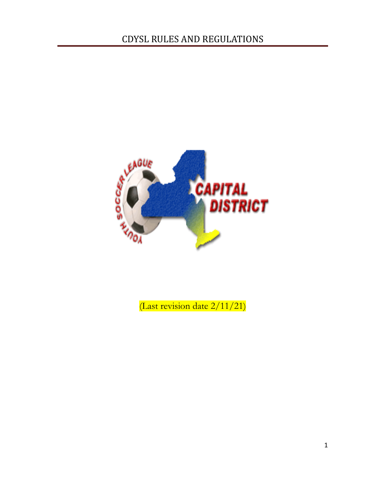

(Last revision date 2/11/21)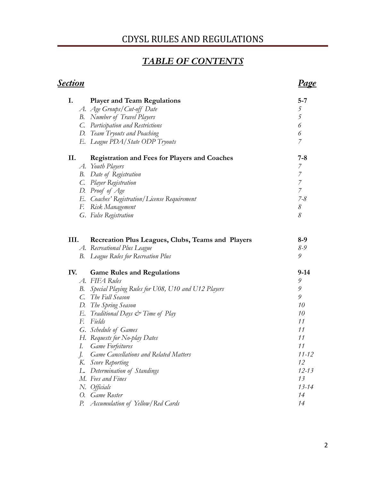# *TABLE OF CONTENTS*

| <u>Section</u> |                                                       | <u>Page</u>                                |
|----------------|-------------------------------------------------------|--------------------------------------------|
| I.             | <b>Player and Team Regulations</b>                    | $5 - 7$                                    |
|                | A. Age Groups/Cut-off Date                            | $\mathfrak s$                              |
|                | <b>B.</b> Number of Travel Players                    | $\overline{5}$                             |
|                | C. Participation and Restrictions                     | 6                                          |
|                | D. Team Tryouts and Poaching                          | $\boldsymbol{\delta}$                      |
|                | E. League PDA/State ODP Tryouts                       | $\overline{7}$                             |
| II.            | <b>Registration and Fees for Players and Coaches</b>  | $7 - 8$                                    |
|                | A. Youth Players                                      | $\overline{z}$                             |
| В.             | Date of Registration                                  | $\begin{array}{c} 7 \\ 7 \\ 7 \end{array}$ |
|                | C. Player Registration                                |                                            |
|                | D. Proof of Age                                       |                                            |
|                | E. Coaches' Registration/License Requirement          | $7 - 8$                                    |
|                | F. Risk Management                                    | $\mathcal S$                               |
|                | G. False Registration                                 | 8                                          |
| III.           | Recreation Plus Leagues, Clubs, Teams and Players     | $8-9$                                      |
|                | A. Recreational Plus League                           | 8-9                                        |
|                | <b>B.</b> League Rules for Recreation Plus            | 9                                          |
| IV.            | <b>Game Rules and Regulations</b>                     | $9-14$                                     |
|                | A. FIFA Rules                                         | 9                                          |
|                | B. Special Playing Rules for U08, U10 and U12 Players | 9                                          |
|                | C. The Fall Season                                    | 9                                          |
|                | D. The Spring Season                                  | 10                                         |
|                | E. Traditional Days & Time of Play                    | 10                                         |
|                | F. Fields                                             | 11                                         |
|                | G. Schedule of Games                                  | 11                                         |
|                | H. Requests for No-play Dates                         | 11                                         |
| I.             | <b>Game Forfeitures</b>                               | 11                                         |
| $\int$         | <b>Game Cancellations and Related Matters</b>         | $11 - 12$                                  |
| К.             | Score Reporting                                       | 12                                         |
| L.             | Determination of Standings                            | $12 - 13$                                  |
|                | M. Fees and Fines                                     | 13                                         |
|                | N. Officials                                          | $13 - 14$                                  |
| О.             | Game Roster                                           | 14                                         |
| Р.             | Accumulation of Yellow/Red Cards                      | 14                                         |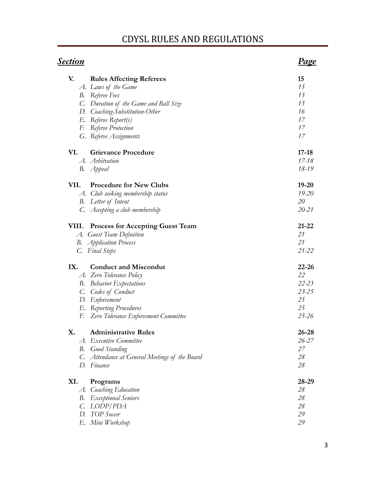| <u>Section</u> |                                                | Page      |
|----------------|------------------------------------------------|-----------|
| V.             | <b>Rules Affecting Referees</b>                | 15        |
|                | A. Laws of the Game                            | 15        |
|                | <b>B.</b> Referee Fees                         | 15        |
|                | C. Duration of the Game and Ball Size          | 15        |
|                | D. Coaching-Substitution-Other                 | 16        |
|                | E. Referee Report(s)                           | 17        |
|                | F. Referee Protection                          | 17        |
|                | G. Referee Assignments                         | 17        |
| VI.            | <b>Grievance Procedure</b>                     | $17 - 18$ |
|                | A. Arbitration                                 | $17 - 18$ |
|                | B. <i>Appeal</i>                               | 18-19     |
| VII.           | <b>Procedure for New Clubs</b>                 | $19 - 20$ |
|                | A. Club seeking membership status              | $19 - 20$ |
|                | <b>B.</b> Letter of Intent                     | 20        |
|                | C. Accepting a club membership                 | $20 - 21$ |
| VIII.          | <b>Process for Accepting Guest Team</b>        | $21 - 22$ |
|                | A. Guest Team Definition                       | 21        |
|                | <b>B.</b> Application Process                  | 21        |
|                | C. Final Steps                                 | $21 - 22$ |
| IX.            | <b>Conduct and Miscondut</b>                   | $22 - 26$ |
|                | A. Zero Tolerance Policy                       | 22        |
| В.             | <b>Behavior Expectations</b>                   | $22 - 23$ |
| C.             | Codes of Conduct                               | $23 - 25$ |
|                | D. Enforcement                                 | 25        |
|                | E. Reporting Procedures                        | 25        |
| F.             | Zero Tolerance Enforcement Committee           | $25 - 26$ |
| X.             | <b>Administrative Rules</b>                    | $26 - 28$ |
|                | A. Executive Committee                         | $26 - 27$ |
| В.             | <b>Good Standing</b>                           | 27        |
|                | C. Attendance at General Meetings of the Board | 28        |
|                | D. Finance                                     | 28        |
| XI.            | Programs                                       | 28-29     |
| A.             | Coaching Education                             | 28        |
| В.             | <b>Exceptional Seniors</b>                     | 28        |
| C.             | LODP/PDA                                       | 28        |
| D.             | TOP Soccer                                     | 29        |
| Е.             | Mini Workshop                                  | 29        |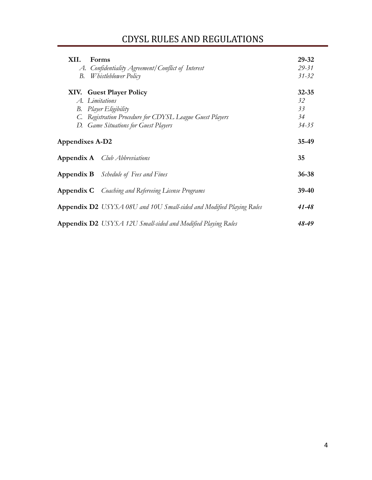| XII.<br><b>Forms</b><br>A. Confidentiality Agreement/Conflict of Interest<br>Whistleblower Policy<br>В.                                                                        | 29-32<br>$29 - 31$<br>$31 - 32$          |
|--------------------------------------------------------------------------------------------------------------------------------------------------------------------------------|------------------------------------------|
| XIV. Guest Player Policy<br>A. Limitations<br><b>B.</b> Player Eligibility<br>C. Registration Procedure for CDYSL League Guest Players<br>D. Game Situations for Guest Players | $32 - 35$<br>32<br>33<br>34<br>$34 - 35$ |
| <b>Appendixes A-D2</b>                                                                                                                                                         | 35-49                                    |
| <b>Appendix A</b> <i>Club Abbreviations</i>                                                                                                                                    | 35                                       |
| <b>Appendix B</b> Schedule of Fees and Fines                                                                                                                                   | $36 - 38$                                |
| <b>Appendix C</b> Coaching and Refereeing License Programs                                                                                                                     | $39-40$                                  |
| <b>Appendix D2</b> USYSA 08U and 10U Small-sided and Modified Playing Rules                                                                                                    | 41-48                                    |
| <b>Appendix D2</b> USYSA 12U Small-sided and Modified Playing Rules                                                                                                            | 48-49                                    |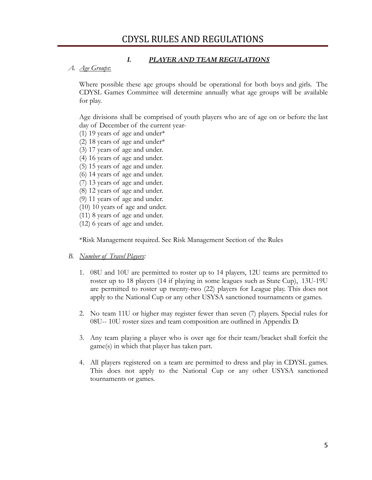#### *I. PLAYER AND TEAM REGULATIONS*

#### *A. Age Groups*:

Where possible these age groups should be operational for both boys and girls. The CDYSL Games Committee will determine annually what age groups will be available for play.

Age divisions shall be comprised of youth players who are of age on or before the last day of December of the current year-

- (1) 19 years of age and under\*
- (2) 18 years of age and under\*
- (3) 17 years of age and under.
- (4) 16 years of age and under.
- (5) 15 years of age and under.
- (6) 14 years of age and under.
- (7) 13 years of age and under.
- (8) 12 years of age and under.
- (9) 11 years of age and under.
- (10) 10 years of age and under.
- (11) 8 years of age and under.
- (12) 6 years of age and under.

\*Risk Management required. See Risk Management Section of the Rules

#### *B. Number of Travel Players:*

- 1. 08U and 10U are permitted to roster up to 14 players, 12U teams are permitted to roster up to 18 players (14 if playing in some leagues such as State Cup), 13U-19U are permitted to roster up twenty-two (22) players for League play. This does not apply to the National Cup or any other USYSA sanctioned tournaments or games.
- 2. No team 11U or higher may register fewer than seven (7) players. Special rules for 08U-- 10U roster sizes and team composition are outlined in Appendix D.
- 3. Any team playing a player who is over age for their team/bracket shall forfeit the game(s) in which that player has taken part.
- 4. All players registered on a team are permitted to dress and play in CDYSL games. This does not apply to the National Cup or any other USYSA sanctioned tournaments or games.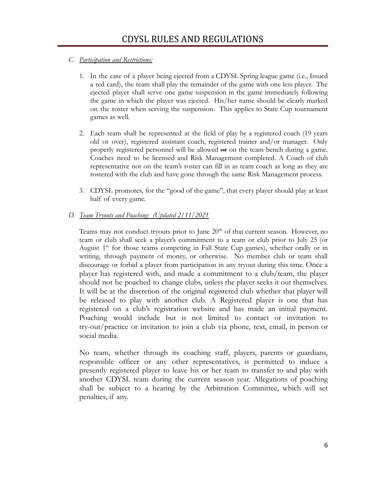#### *C. Participation and Restrictions:*

- 1. In the case of a player being ejected from a CDYSL Spring league game (i.e., Issued a red card), the team shall play the remainder of the game with one less player. The ejected player shall serve one game suspension in the game immediately following the game in which the player was ejected. His/her name should be clearly marked on the roster when serving the suspension. This applies to State Cup tournament games as well.
- 2. Each team shall be represented at the field of play by a registered coach (19 years old or over), registered assistant coach, registered trainer and/or manager. Only properly registered personnel will be allowed  $\Theta$  on the team bench during a game. Coaches need to be licensed and Risk Management completed. A Coach of club representative not on the team's roster can fill in as team coach as long as they are rostered with the club and have gone through the same Risk Management process.
- 3. CDYSL promotes, for the "good of the game", that every player should play at least half of every game.

#### *D. Team Tryouts and Poaching: (Updated 2/11/2021*

Teams may not conduct tryouts prior to June  $20<sup>th</sup>$  of that current season. However, no team or club shall seek a player's commitment to a team or club prior to July 25 (or August 1<sup>st</sup> for those teams competing in Fall State Cup games), whether orally or in writing, through payment of money, or otherwise. No member club or team shall discourage or forbid a player from participation in any tryout during this time. Once a player has registered with, and made a commitment to a club/team, the player should not be poached to change clubs, unless the player seeks it out themselves. It will be at the discretion of the original registered club whether that player will be released to play with another club. A Registered player is one that has registered on a club's registration website and has made an initial payment. Poaching would include but is not limited to contact or invitation to try-out/practice or invitation to join a club via phone, text, email, in person or social media.

No team, whether through its coaching staff, players, parents or guardians, responsible officer or any other representatives, is permitted to induce a presently registered player to leave his or her team to transfer to and play with another CDYSL team during the current season year. Allegations of poaching shall be subject to a hearing by the Arbitration Committee, which will set penalties, if any.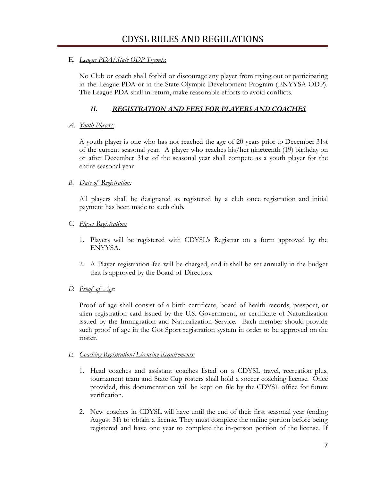#### E. *League PDA/State ODP Tryouts*:

No Club or coach shall forbid or discourage any player from trying out or participating in the League PDA or in the State Olympic Development Program (ENYYSA ODP). The League PDA shall in return, make reasonable efforts to avoid conflicts.

#### *II. REGISTRATION AND FEES FOR PLAYERS AND COACHES*

#### *A. Youth Players:*

A youth player is one who has not reached the age of 20 years prior to December 31st of the current seasonal year. A player who reaches his/her nineteenth (19) birthday on or after December 31st of the seasonal year shall compete as a youth player for the entire seasonal year.

#### *B. Date of Registration:*

All players shall be designated as registered by a club once registration and initial payment has been made to such club.

- *C. Player Registration:*
	- 1. Players will be registered with CDYSL's Registrar on a form approved by the ENYYSA.
	- 2. A Player registration fee will be charged, and it shall be set annually in the budget that is approved by the Board of Directors.
- *D. Proof of Age:*

Proof of age shall consist of a birth certificate, board of health records, passport, or alien registration card issued by the U.S. Government, or certificate of Naturalization issued by the Immigration and Naturalization Service. Each member should provide such proof of age in the Got Sport registration system in order to be approved on the roster.

#### *E. Coaching Registration/Licensing Requirements:*

- 1. Head coaches and assistant coaches listed on a CDYSL travel, recreation plus, tournament team and State Cup rosters shall hold a soccer coaching license. Once provided, this documentation will be kept on file by the CDYSL office for future verification.
- 2. New coaches in CDYSL will have until the end of their first seasonal year (ending August 31) to obtain a license. They must complete the online portion before being registered and have one year to complete the in-person portion of the license. If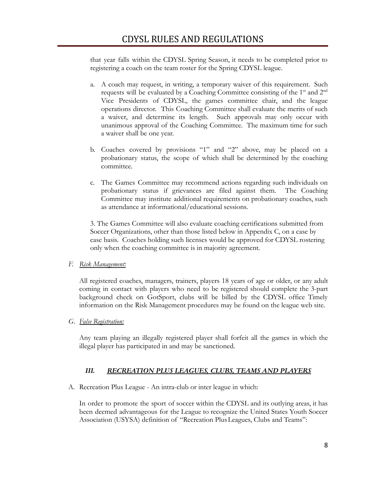that year falls within the CDYSL Spring Season, it needs to be completed prior to registering a coach on the team roster for the Spring CDYSL league.

- a. A coach may request, in writing, a temporary waiver of this requirement. Such requests will be evaluated by a Coaching Committee consisting of the  $1<sup>st</sup>$  and  $2<sup>nd</sup>$ Vice Presidents of CDYSL, the games committee chair, and the league operations director. This Coaching Committee shall evaluate the merits of such a waiver, and determine its length. Such approvals may only occur with unanimous approval of the Coaching Committee. The maximum time for such a waiver shall be one year.
- b. Coaches covered by provisions "1" and "2" above, may be placed on a probationary status, the scope of which shall be determined by the coaching committee.
- c. The Games Committee may recommend actions regarding such individuals on probationary status if grievances are filed against them. The Coaching Committee may institute additional requirements on probationary coaches, such as attendance at informational/educational sessions.

3. The Games Committee will also evaluate coaching certifications submitted from Soccer Organizations, other than those listed below in Appendix C, on a case by case basis. Coaches holding such licenses would be approved for CDYSL rostering only when the coaching committee is in majority agreement.

#### *F. Risk Management:*

All registered coaches, managers, trainers, players 18 years of age or older, or any adult coming in contact with players who need to be registered should complete the 3-part background check on GotSport, clubs will be billed by the CDYSL office Timely information on the Risk Management procedures may be found on the league web site.

*G. False Registration:*

Any team playing an illegally registered player shall forfeit all the games in which the illegal player has participated in and may be sanctioned.

#### *III. RECREATION PLUS LEAGUES, CLUBS, TEAMS AND PLAYERS*

A. Recreation Plus League - An intra-club or inter league in which:

In order to promote the sport of soccer within the CDYSL and its outlying areas, it has been deemed advantageous for the League to recognize the United States Youth Soccer Association (USYSA) definition of "Recreation PlusLeagues, Clubs and Teams":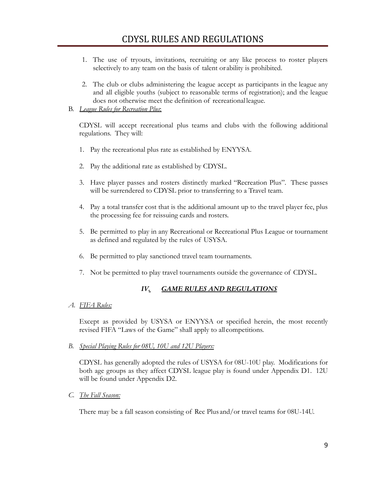- 1. The use of tryouts, invitations, recruiting or any like process to roster players selectively to any team on the basis of talent or ability is prohibited.
- 2. The club or clubs administering the league accept as participants in the league any and all eligible youths (subject to reasonable terms of registration); and the league does not otherwise meet the definition of recreational league.
- B. *League Rules for Recreation Plus*:

CDYSL will accept recreational plus teams and clubs with the following additional regulations. They will:

- 1. Pay the recreational plus rate as established by ENYYSA.
- 2. Pay the additional rate as established by CDYSL.
- 3. Have player passes and rosters distinctly marked "Recreation Plus". These passes will be surrendered to CDYSL prior to transferring to a Travel team.
- 4. Pay a total transfer cost that is the additional amount up to the travel player fee, plus the processing fee for reissuing cards and rosters.
- 5. Be permitted to play in any Recreational or Recreational Plus League or tournament as defined and regulated by the rules of USYSA.
- 6. Be permitted to play sanctioned travel team tournaments.
- 7. Not be permitted to play travel tournaments outside the governance of CDYSL.

### *IV. GAME RULES AND REGULATIONS*

*A. FIFA Rules:*

Except as provided by USYSA or ENYYSA or specified herein, the most recently revised FIFA "Laws of the Game" shall apply to all competitions.

*B. Special Playing Rules for 08U, 10U and 12U Players:*

CDYSL has generally adopted the rules of USYSA for 08U-10U play. Modifications for both age groups as they affect CDYSL league play is found under Appendix D1. 12U will be found under Appendix D2.

*C. The Fall Season:*

There may be a fall season consisting of Rec Plus and/or travel teams for 08U-14U.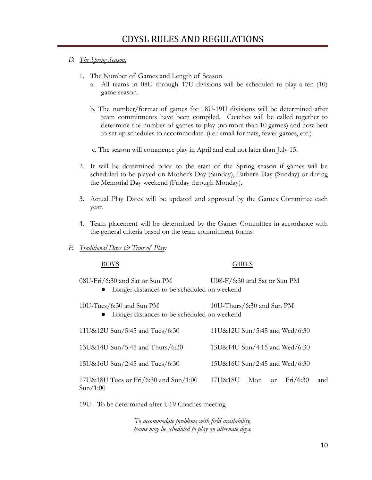#### *D. The Spring Season:*

- 1. The Number of Games and Length of Season
	- a. All teams in 08U through 17U divisions will be scheduled to play a ten (10) game season.
	- b. The number/format of games for 18U-19U divisions will be determined after team commitments have been compiled. Coaches will be called together to determine the number of games to play (no more than 10 games) and how best to set up schedules to accommodate. (i.e.: small formats, fewer games, etc.)

c. The season will commence play in April and end not later than July 15.

- 2. It will be determined prior to the start of the Spring season if games will be scheduled to be played on Mother's Day (Sunday), Father's Day (Sunday) or during the Memorial Day weekend (Friday through Monday).
- 3. Actual Play Dates will be updated and approved by the Games Committee each year.
- 4. Team placement will be determined by the Games Committee in accordance with the general criteria based on the team commitment forms.
- *E. Traditional Days & Time of Play:*

BOYS GIRLS

08U-Fri/6:30 and Sat or Sun PM U08-F/6:30 and Sat or Sun PM

● Longer distances to be scheduled on weekend

● Longer distances to be scheduled on weekend

| 11U&12U Sun/5:45 and Tues/6:30                    | 11U&12U Sun/5:45 and Wed/6:30       |
|---------------------------------------------------|-------------------------------------|
| 13U&14U Sun/5:45 and Thurs/6:30                   | 13U&14U Sun/4:15 and Wed/6:30       |
| 15U&16U Sun/2:45 and Tues/6:30                    | 15U&16U Sun/2:45 and Wed/6:30       |
| 17U&18U Tues or Fri/6:30 and Sun/1:00<br>Sun/1:00 | Fi/6:30<br>and<br>17U&18U<br>Mon or |

19U - To be determined after U19 Coaches meeting

*To accommodate problems with field availability, teams may be scheduled to play on alternate days.*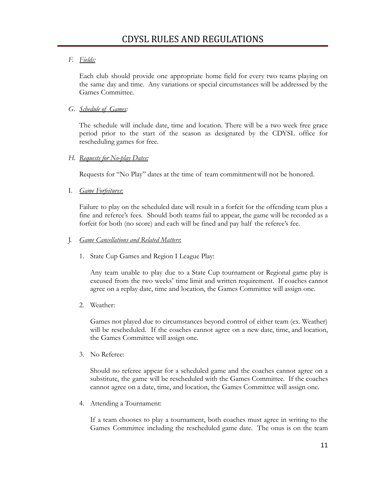#### *F. Fields:*

Each club should provide one appropriate home field for every two teams playing on the same day and time. Any variations or special circumstances will be addressed by the Games Committee.

#### *G. Schedule of Games:*

The schedule will include date, time and location. There will be a two week free grace period prior to the start of the season as designated by the CDYSL office for rescheduling games for free.

#### *H. Requests for No-play Dates:*

Requests for "No Play" dates at the time of team commitmentwill not be honored.

#### I. *Game Forfeitures*:

Failure to play on the scheduled date will result in a forfeit for the offending team plus a fine and referee's fees. Should both teams fail to appear, the game will be recorded as a forfeit for both (no score) and each will be fined and pay half the referee's fee.

J. *Game Cancellations and Related Matters*:

1. State Cup Games and Region I League Play:

Any team unable to play due to a State Cup tournament or Regional game play is excused from the two weeks' time limit and written requirement. If coaches cannot agree on a replay date, time and location, the Games Committee will assign one.

2. Weather:

Games not played due to circumstances beyond control of either team (ex. Weather) will be rescheduled. If the coaches cannot agree on a new date, time, and location, the Games Committee will assign one.

3. No Referee:

Should no referee appear for a scheduled game and the coaches cannot agree on a substitute, the game will be rescheduled with the Games Committee. If the coaches cannot agree on a date, time, and location, the Games Committee will assign one.

4. Attending a Tournament:

If a team chooses to play a tournament, both coaches must agree in writing to the Games Committee including the rescheduled game date. The onus is on the team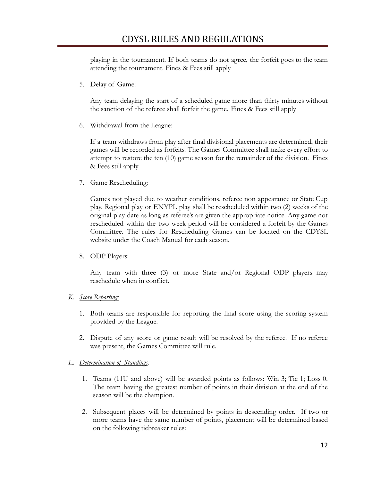playing in the tournament. If both teams do not agree, the forfeit goes to the team attending the tournament. Fines & Fees still apply

5. Delay of Game:

Any team delaying the start of a scheduled game more than thirty minutes without the sanction of the referee shall forfeit the game. Fines & Fees still apply

6. Withdrawal from the League:

If a team withdraws from play after final divisional placements are determined, their games will be recorded as forfeits. The Games Committee shall make every effort to attempt to restore the ten (10) game season for the remainder of the division. Fines & Fees still apply

7. Game Rescheduling:

Games not played due to weather conditions, referee non appearance or State Cup play, Regional play or ENYPL play shall be rescheduled within two (2) weeks of the original play date as long as referee's are given the appropriate notice. Any game not rescheduled within the two week period will be considered a forfeit by the Games Committee. The rules for Rescheduling Games can be located on the CDYSL website under the Coach Manual for each season.

8. ODP Players:

Any team with three (3) or more State and/or Regional ODP players may reschedule when in conflict.

- *K. Score Reporting:*
	- 1. Both teams are responsible for reporting the final score using the scoring system provided by the League.
	- 2. Dispute of any score or game result will be resolved by the referee. If no referee was present, the Games Committee will rule.
- *L. Determination of Standings:*
	- 1. Teams (11U and above) will be awarded points as follows: Win 3; Tie 1; Loss 0. The team having the greatest number of points in their division at the end of the season will be the champion.
	- 2. Subsequent places will be determined by points in descending order. If two or more teams have the same number of points, placement will be determined based on the following tiebreaker rules: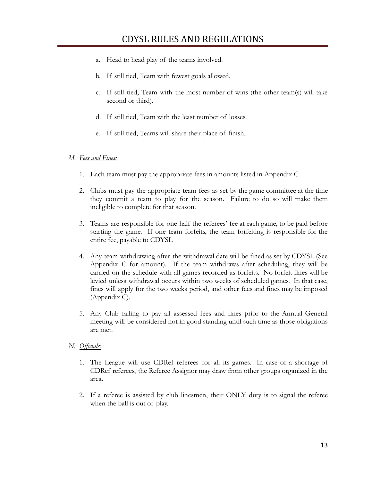- a. Head to head play of the teams involved.
- b. If still tied, Team with fewest goals allowed.
- c. If still tied, Team with the most number of wins (the other team(s) will take second or third).
- d. If still tied, Team with the least number of losses.
- e. If still tied, Teams will share their place of finish.

#### *M. Fees and Fines:*

- 1. Each team must pay the appropriate fees in amounts listed in Appendix C.
- 2. Clubs must pay the appropriate team fees as set by the game committee at the time they commit a team to play for the season. Failure to do so will make them ineligible to complete for that season.
- 3. Teams are responsible for one half the referees' fee at each game, to be paid before starting the game. If one team forfeits, the team forfeiting is responsible for the entire fee, payable to CDYSL
- 4. Any team withdrawing after the withdrawal date will be fined as set by CDYSL (See Appendix C for amount). If the team withdraws after scheduling, they will be carried on the schedule with all games recorded as forfeits. No forfeit fines will be levied unless withdrawal occurs within two weeks of scheduled games. In that case, fines will apply for the two weeks period, and other fees and fines may be imposed (Appendix C).
- 5. Any Club failing to pay all assessed fees and fines prior to the Annual General meeting will be considered not in good standing until such time as those obligations are met.

#### *N. Officials:*

- 1. The League will use CDRef referees for all its games. In case of a shortage of CDRef referees, the Referee Assignor may draw from other groups organized in the area.
- 2. If a referee is assisted by club linesmen, their ONLY duty is to signal the referee when the ball is out of play.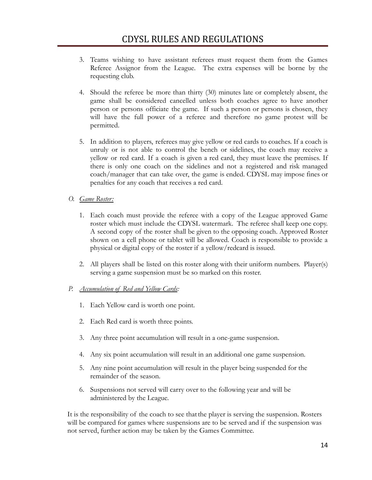- 3. Teams wishing to have assistant referees must request them from the Games Referee Assignor from the League. The extra expenses will be borne by the requesting club.
- 4. Should the referee be more than thirty (30) minutes late or completely absent, the game shall be considered cancelled unless both coaches agree to have another person or persons officiate the game. If such a person or persons is chosen, they will have the full power of a referee and therefore no game protest will be permitted.
- 5. In addition to players, referees may give yellow or red cards to coaches. If a coach is unruly or is not able to control the bench or sidelines, the coach may receive a yellow or red card. If a coach is given a red card, they must leave the premises. If there is only one coach on the sidelines and not a registered and risk managed coach/manager that can take over, the game is ended. CDYSL may impose fines or penalties for any coach that receives a red card.

#### *O. Game Roster:*

- 1. Each coach must provide the referee with a copy of the League approved Game roster which must include the CDYSL watermark. The referee shall keep one copy. A second copy of the roster shall be given to the opposing coach. Approved Roster shown on a cell phone or tablet will be allowed. Coach is responsible to provide a physical or digital copy of the roster if a yellow/redcard is issued.
- 2. All players shall be listed on this roster along with their uniform numbers. Player(s) serving a game suspension must be so marked on this roster.

#### *P. Accumulation of Red and Yellow Cards:*

- 1. Each Yellow card is worth one point.
- 2. Each Red card is worth three points.
- 3. Any three point accumulation will result in a one-game suspension.
- 4. Any six point accumulation will result in an additional one game suspension.
- 5. Any nine point accumulation will result in the player being suspended for the remainder of the season.
- 6. Suspensions not served will carry over to the following year and will be administered by the League.

It is the responsibility of the coach to see thatthe player is serving the suspension. Rosters will be compared for games where suspensions are to be served and if the suspension was not served, further action may be taken by the Games Committee.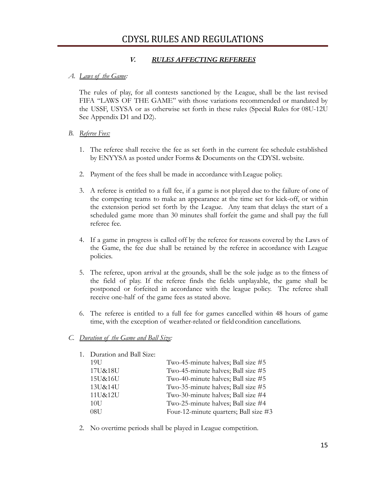#### *V. RULES AFFECTING REFEREES*

#### *A. Laws of the Game:*

The rules of play, for all contests sanctioned by the League, shall be the last revised FIFA "LAWS OF THE GAME" with those variations recommended or mandated by the USSF, USYSA or as otherwise set forth in these rules (Special Rules for 08U-12U See Appendix D1 and D2).

#### *B. Referee Fees:*

- 1. The referee shall receive the fee as set forth in the current fee schedule established by ENYYSA as posted under Forms & Documents on the CDYSL website.
- 2. Payment of the fees shall be made in accordance withLeague policy.
- 3. A referee is entitled to a full fee, if a game is not played due to the failure of one of the competing teams to make an appearance at the time set for kick-off, or within the extension period set forth by the League. Any team that delays the start of a scheduled game more than 30 minutes shall forfeit the game and shall pay the full referee fee.
- 4. If a game in progress is called off by the referee for reasons covered by the Laws of the Game, the fee due shall be retained by the referee in accordance with League policies.
- 5. The referee, upon arrival at the grounds, shall be the sole judge as to the fitness of the field of play. If the referee finds the fields unplayable, the game shall be postponed or forfeited in accordance with the league policy. The referee shall receive one-half of the game fees as stated above.
- 6. The referee is entitled to a full fee for games cancelled within 48 hours of game time, with the exception of weather-related or field condition cancellations.

#### *C. Duration of the Game and Ball Size:*

| 1. Duration and Ball Size: |                                       |
|----------------------------|---------------------------------------|
| 19U                        | Two-45-minute halves; Ball size #5    |
| 17U&18U                    | Two-45-minute halves; Ball size #5    |
| 15U&16U                    | Two-40-minute halves; Ball size #5    |
| 13U&14U                    | Two-35-minute halves; Ball size #5    |
| 11U&12U                    | Two-30-minute halves; Ball size #4    |
| 10U                        | Two-25-minute halves; Ball size #4    |
| 08U                        | Four-12-minute quarters; Ball size #3 |
|                            |                                       |

2. No overtime periods shall be played in League competition.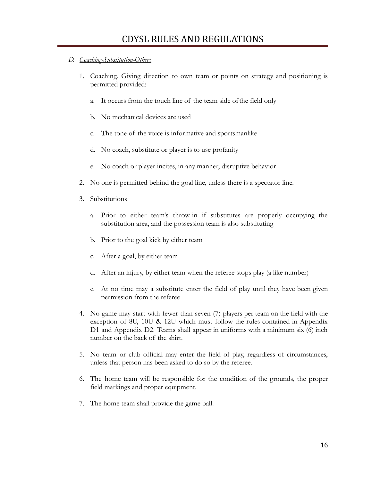#### *D. Coaching-Substitution-Other:*

- 1. Coaching. Giving direction to own team or points on strategy and positioning is permitted provided:
	- a. It occurs from the touch line of the team side ofthe field only
	- b. No mechanical devices are used
	- c. The tone of the voice is informative and sportsmanlike
	- d. No coach, substitute or player is to use profanity
	- e. No coach or player incites, in any manner, disruptive behavior
- 2. No one is permitted behind the goal line, unless there is a spectator line.
- 3. Substitutions
	- a. Prior to either team's throw-in if substitutes are properly occupying the substitution area, and the possession team is also substituting
	- b. Prior to the goal kick by either team
	- c. After a goal, by either team
	- d. After an injury, by either team when the referee stops play (a like number)
	- e. At no time may a substitute enter the field of play until they have been given permission from the referee
- 4. No game may start with fewer than seven (7) players per team on the field with the exception of 8U, 10U & 12U which must follow the rules contained in Appendix D1 and Appendix D2. Teams shall appear in uniforms with a minimum six (6) inch number on the back of the shirt.
- 5. No team or club official may enter the field of play, regardless of circumstances, unless that person has been asked to do so by the referee.
- 6. The home team will be responsible for the condition of the grounds, the proper field markings and proper equipment.
- 7. The home team shall provide the game ball.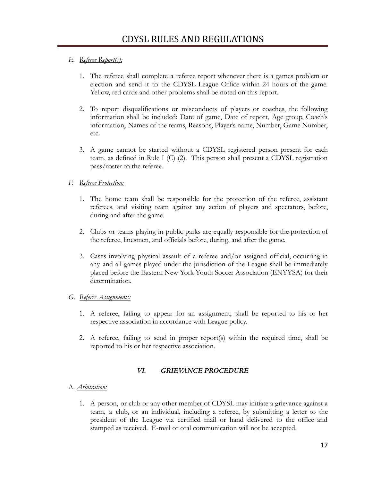#### *E. Referee Report(s):*

- 1. The referee shall complete a referee report whenever there is a games problem or ejection and send it to the CDYSL League Office within 24 hours of the game. Yellow, red cards and other problems shall be noted on this report.
- 2. To report disqualifications or misconducts of players or coaches, the following information shall be included: Date of game, Date of report, Age group, Coach's information, Names of the teams, Reasons, Player's name, Number, Game Number, etc.
- 3. A game cannot be started without a CDYSL registered person present for each team, as defined in Rule I (C) (2). This person shall present a CDYSL registration pass/roster to the referee.

#### *F. Referee Protection:*

- 1. The home team shall be responsible for the protection of the referee, assistant referees, and visiting team against any action of players and spectators, before, during and after the game.
- 2. Clubs or teams playing in public parks are equally responsible for the protection of the referee, linesmen, and officials before, during, and after the game.
- 3. Cases involving physical assault of a referee and/or assigned official, occurring in any and all games played under the jurisdiction of the League shall be immediately placed before the Eastern New York Youth Soccer Association (ENYYSA) for their determination.

#### *G. Referee Assignments:*

- 1. A referee, failing to appear for an assignment, shall be reported to his or her respective association in accordance with League policy.
- 2. A referee, failing to send in proper report(s) within the required time, shall be reported to his or her respective association.

#### *VI. GRIEVANCE PROCEDURE*

#### A. *Arbitration:*

1. A person, or club or any other member of CDYSL may initiate a grievance against a team, a club, or an individual, including a referee, by submitting a letter to the president of the League via certified mail or hand delivered to the office and stamped as received. E-mail or oral communication will not be accepted.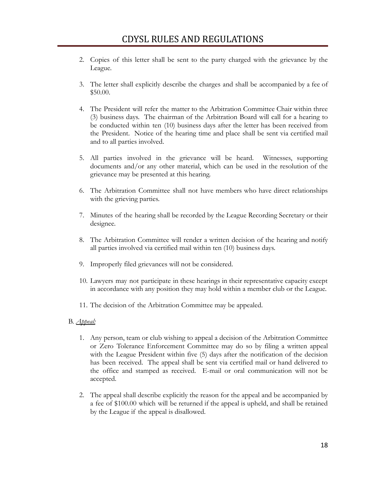- 2. Copies of this letter shall be sent to the party charged with the grievance by the League.
- 3. The letter shall explicitly describe the charges and shall be accompanied by a fee of \$50.00.
- 4. The President will refer the matter to the Arbitration Committee Chair within three (3) business days. The chairman of the Arbitration Board will call for a hearing to be conducted within ten (10) business days after the letter has been received from the President. Notice of the hearing time and place shall be sent via certified mail and to all parties involved.
- 5. All parties involved in the grievance will be heard. Witnesses, supporting documents and/or any other material, which can be used in the resolution of the grievance may be presented at this hearing.
- 6. The Arbitration Committee shall not have members who have direct relationships with the grieving parties.
- 7. Minutes of the hearing shall be recorded by the League Recording Secretary or their designee.
- 8. The Arbitration Committee will render a written decision of the hearing and notify all parties involved via certified mail within ten (10) business days.
- 9. Improperly filed grievances will not be considered.
- 10. Lawyers may not participate in these hearings in their representative capacity except in accordance with any position they may hold within a member club or the League.
- 11. The decision of the Arbitration Committee may be appealed.

#### B. *Appeal:*

- 1. Any person, team or club wishing to appeal a decision of the Arbitration Committee or Zero Tolerance Enforcement Committee may do so by filing a written appeal with the League President within five (5) days after the notification of the decision has been received. The appeal shall be sent via certified mail or hand delivered to the office and stamped as received. E-mail or oral communication will not be accepted.
- 2. The appeal shall describe explicitly the reason for the appeal and be accompanied by a fee of \$100.00 which will be returned if the appeal is upheld, and shall be retained by the League if the appeal is disallowed.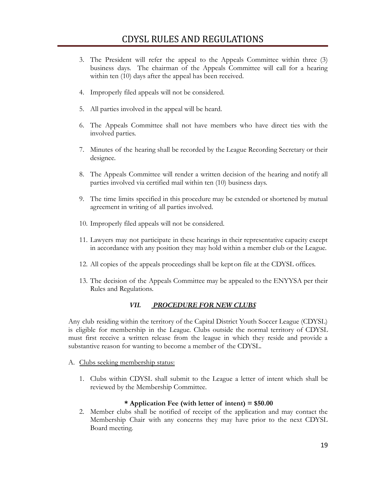- 3. The President will refer the appeal to the Appeals Committee within three (3) business days. The chairman of the Appeals Committee will call for a hearing within ten (10) days after the appeal has been received.
- 4. Improperly filed appeals will not be considered.
- 5. All parties involved in the appeal will be heard.
- 6. The Appeals Committee shall not have members who have direct ties with the involved parties.
- 7. Minutes of the hearing shall be recorded by the League Recording Secretary or their designee.
- 8. The Appeals Committee will render a written decision of the hearing and notify all parties involved via certified mail within ten (10) business days.
- 9. The time limits specified in this procedure may be extended or shortened by mutual agreement in writing of all parties involved.
- 10. Improperly filed appeals will not be considered.
- 11. Lawyers may not participate in these hearings in their representative capacity except in accordance with any position they may hold within a member club or the League.
- 12. All copies of the appeals proceedings shall be kepton file at the CDYSL offices.
- 13. The decision of the Appeals Committee may be appealed to the ENYYSA per their Rules and Regulations.

#### *VII. PROCEDURE FOR NEW CLUBS*

Any club residing within the territory of the Capital District Youth Soccer League (CDYSL) is eligible for membership in the League. Clubs outside the normal territory of CDYSL must first receive a written release from the league in which they reside and provide a substantive reason for wanting to become a member of the CDYSL.

- A. Clubs seeking membership status:
	- 1. Clubs within CDYSL shall submit to the League a letter of intent which shall be reviewed by the Membership Committee.

#### **\* Application Fee (with letter of intent) = \$50.00**

2. Member clubs shall be notified of receipt of the application and may contact the Membership Chair with any concerns they may have prior to the next CDYSL Board meeting.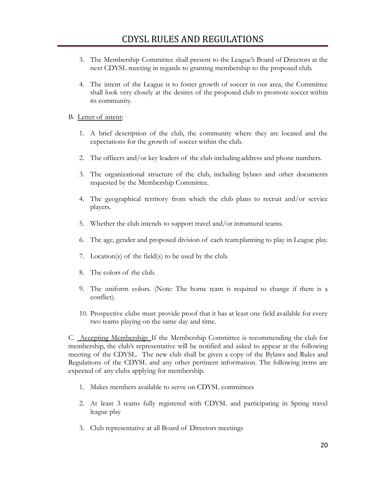- 3. The Membership Committee shall present to the League's Board of Directors at the next CDYSL meeting in regards to granting membership to the proposed club.
- 4. The intent of the League is to foster growth of soccer in our area, the Committee shall look very closely at the desires of the proposed club to promote soccer within its community.

#### B. Letter of intent:

- 1. A brief description of the club, the community where they are located and the expectations for the growth of soccer within the club.
- 2. The officers and/or key leaders of the club including address and phone numbers.
- 3. The organizational structure of the club, including bylaws and other documents requested by the Membership Committee.
- 4. The geographical territory from which the club plans to recruit and/or service players.
- 5. Whether the club intends to support travel and/or intramural teams.
- 6. The age, gender and proposed division of each teamplanning to play in League play.
- 7. Location(s) of the field(s) to be used by the club.
- 8. The colors of the club.
- 9. The uniform colors. (Note: The home team is required to change if there is a conflict).
- 10. Prospective clubs must provide proof that it has at least one field available for every two teams playing on the same day and time.

C. Accepting Membership: If the Membership Committee is recommending the club for membership, the club's representative will be notified and asked to appear at the following meeting of the CDYSL. The new club shall be given a copy of the Bylaws and Rules and Regulations of the CDYSL and any other pertinent information. The following items are expected of any clubs applying for membership.

- 1. Makes members available to serve on CDYSL committees
- 2. At least 3 teams fully registered with CDYSL and participating in Spring travel league play
- 3. Club representative at all Board of Directors meetings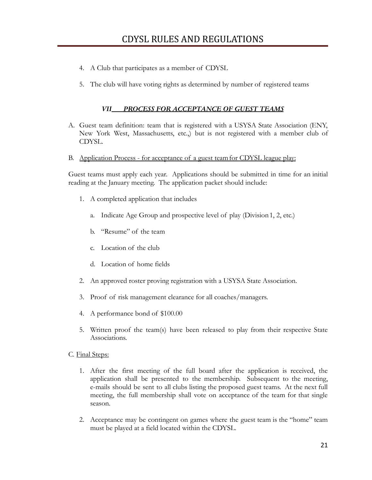- 4. A Club that participates as a member of CDYSL
- 5. The club will have voting rights as determined by number of registered teams

#### *VII PROCESS FOR ACCEPTANCE OF GUEST TEAMS*

- A. Guest team definition: team that is registered with a USYSA State Association (ENY, New York West, Massachusetts, etc.,) but is not registered with a member club of CDYSL.
- B. Application Process for acceptance of a guest teamfor CDYSL league play:

Guest teams must apply each year. Applications should be submitted in time for an initial reading at the January meeting. The application packet should include:

- 1. A completed application that includes
	- a. Indicate Age Group and prospective level of play (Division1, 2, etc.)
	- b. "Resume" of the team
	- c. Location of the club
	- d. Location of home fields
- 2. An approved roster proving registration with a USYSA State Association.
- 3. Proof of risk management clearance for all coaches/managers.
- 4. A performance bond of \$100.00
- 5. Written proof the team(s) have been released to play from their respective State Associations.
- C. Final Steps:
	- 1. After the first meeting of the full board after the application is received, the application shall be presented to the membership. Subsequent to the meeting, e-mails should be sent to all clubs listing the proposed guest teams. At the next full meeting, the full membership shall vote on acceptance of the team for that single season.
	- 2. Acceptance may be contingent on games where the guest team is the "home" team must be played at a field located within the CDYSL.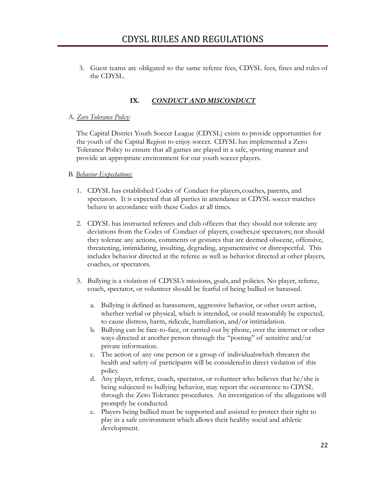3. Guest teams are obligated to the same referee fees, CDYSL fees, fines and rules of the CDYSL.

#### **IX.** *CONDUCT AND MISCONDUCT*

#### A. *Zero Tolerance Policy:*

The Capital District Youth Soccer League (CDYSL) exists to provide opportunities for the youth of the Capital Region to enjoy soccer. CDYSL has implemented a Zero Tolerance Policy to ensure that all games are played in a safe, sporting manner and provide an appropriate environment for our youth soccer players.

#### B. *Behavior Expectations:*

- 1. CDYSL has established Codes of Conduct for players, coaches, parents, and spectators. It is expected that all parties in attendance at CDYSL soccer matches behave in accordance with these Codes at all times.
- 2. CDYSL has instructed referees and club officers that they should not tolerate any deviations from the Codes of Conduct of players, coaches,or spectators; nor should they tolerate any actions, comments or gestures that are deemed obscene, offensive, threatening, intimidating, insulting, degrading, argumentative or disrespectful. This includes behavior directed at the referee as well as behavior directed at other players, coaches, or spectators.
- 3. Bullying is a violation of CDYSL's missions, goals, and policies. No player, referee, coach, spectator, or volunteer should be fearful of being bullied or harassed.
	- a. Bullying is defined as harassment, aggressive behavior, or other overt action, whether verbal or physical, which is intended, or could reasonably be expected, to cause distress, harm, ridicule, humiliation, and/or intimidation.
	- b. Bullying can be face-to-face, or carried out by phone, over the internet or other ways directed at another person through the "posting" of sensitive and/or private information.
	- c. The action of any one person or a group of individualswhich threaten the health and safety of participants will be considered in direct violation of this policy.
	- d. Any player, referee, coach, spectator, or volunteer who believes that he/she is being subjected to bullying behavior, may report the occurrence to CDYSL through the Zero Tolerance procedures. An investigation of the allegations will promptly be conducted.
	- e. Players being bullied must be supported and assisted to protect their right to play in a safe environment which allows their healthy social and athletic development.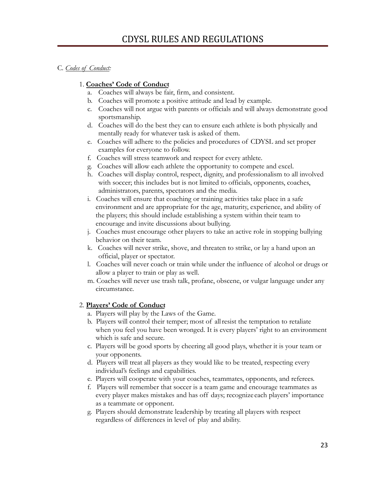#### C. *Codes of Conduct:*

#### 1. **Coaches' Code of Conduct**

- a. Coaches will always be fair, firm, and consistent.
- b. Coaches will promote a positive attitude and lead by example.
- c. Coaches will not argue with parents or officials and will always demonstrate good sportsmanship.
- d. Coaches will do the best they can to ensure each athlete is both physically and mentally ready for whatever task is asked of them.
- e. Coaches will adhere to the policies and procedures of CDYSL and set proper examples for everyone to follow.
- f. Coaches will stress teamwork and respect for every athlete.
- g. Coaches will allow each athlete the opportunity to compete and excel.
- h. Coaches will display control, respect, dignity, and professionalism to all involved with soccer; this includes but is not limited to officials, opponents, coaches, administrators, parents, spectators and the media.
- i. Coaches will ensure that coaching or training activities take place in a safe environment and are appropriate for the age, maturity, experience, and ability of the players; this should include establishing a system within their team to encourage and invite discussions about bullying.
- j. Coaches must encourage other players to take an active role in stopping bullying behavior on their team.
- k. Coaches will never strike, shove, and threaten to strike, or lay a hand upon an official, player or spectator.
- l. Coaches will never coach or train while under the influence of alcohol or drugs or allow a player to train or play as well.
- m. Coaches will never use trash talk, profane, obscene, or vulgar language under any circumstance.

#### 2. **Players' Code of Conduct**

- a. Players will play by the Laws of the Game.
- b. Players will control their temper; most of allresist the temptation to retaliate when you feel you have been wronged. It is every players' right to an environment which is safe and secure.
- c. Players will be good sports by cheering all good plays, whether it is your team or your opponents.
- d. Players will treat all players as they would like to be treated, respecting every individual's feelings and capabilities.
- e. Players will cooperate with your coaches, teammates, opponents, and referees.
- f. Players will remember that soccer is a team game and encourage teammates as every player makes mistakes and has off days; recognize each players' importance as a teammate or opponent.
- g. Players should demonstrate leadership by treating all players with respect regardless of differences in level of play and ability.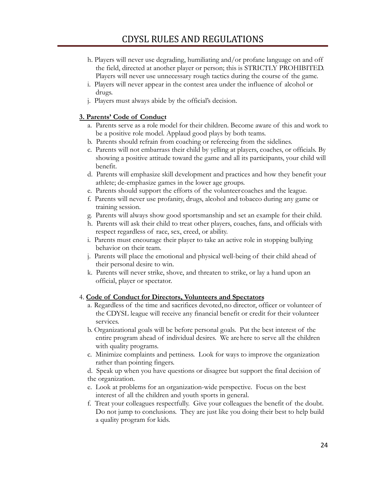- h. Players will never use degrading, humiliating and/or profane language on and off the field, directed at another player or person; this is STRICTLY PROHIBITED. Players will never use unnecessary rough tactics during the course of the game.
- i. Players will never appear in the contest area under the influence of alcohol or drugs.
- j. Players must always abide by the official's decision.

#### **3. Parents' Code of Conduct**

- a. Parents serve as a role model for their children. Become aware of this and work to be a positive role model. Applaud good plays by both teams.
- b. Parents should refrain from coaching or refereeing from the sidelines.
- c. Parents will not embarrass their child by yelling at players, coaches, or officials. By showing a positive attitude toward the game and all its participants, your child will benefit.
- d. Parents will emphasize skill development and practices and how they benefit your athlete; de-emphasize games in the lower age groups.
- e. Parents should support the efforts of the volunteer coaches and the league.
- f. Parents will never use profanity, drugs, alcohol and tobacco during any game or training session.
- g. Parents will always show good sportsmanship and set an example for their child.
- h. Parents will ask their child to treat other players, coaches, fans, and officials with respect regardless of race, sex, creed, or ability.
- i. Parents must encourage their player to take an active role in stopping bullying behavior on their team.
- j. Parents will place the emotional and physical well-being of their child ahead of their personal desire to win.
- k. Parents will never strike, shove, and threaten to strike, or lay a hand upon an official, player or spectator.

#### 4. **Code of Conduct for Directors, Volunteers and Spectators**

- a. Regardless of the time and sacrifices devoted,no director, officer or volunteer of the CDYSL league will receive any financial benefit or credit for their volunteer services.
- b. Organizational goals will be before personal goals. Put the best interest of the entire program ahead of individual desires. We arehere to serve all the children with quality programs.
- c. Minimize complaints and pettiness. Look for ways to improve the organization rather than pointing fingers.

d. Speak up when you have questions or disagree but support the final decision of the organization.

- e. Look at problems for an organization-wide perspective. Focus on the best interest of all the children and youth sports in general.
- f. Treat your colleagues respectfully. Give your colleagues the benefit of the doubt. Do not jump to conclusions. They are just like you doing their best to help build a quality program for kids.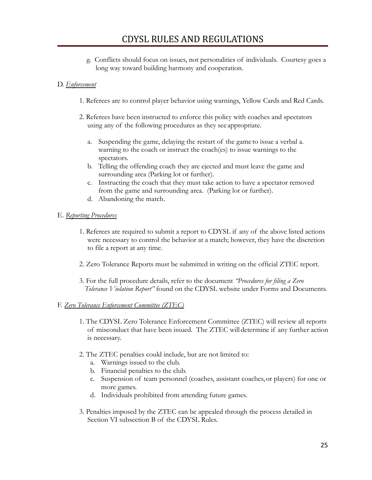g. Conflicts should focus on issues, not personalities of individuals. Courtesy goes a long way toward building harmony and cooperation.

#### D. *Enforcement*

- 1. Referees are to control player behavior using warnings, Yellow Cards and Red Cards.
- 2. Referees have been instructed to enforce this policy with coaches and spectators using any of the following procedures as they see appropriate.
	- a. Suspending the game, delaying the restart of the game to issue a verbal a. warning to the coach or instruct the coach(es) to issue warnings to the spectators.
	- b. Telling the offending coach they are ejected and must leave the game and surrounding area (Parking lot or further).
	- c. Instructing the coach that they must take action to have a spectator removed from the game and surrounding area. (Parking lot or further).
	- d. Abandoning the match.
- E. *Reporting Procedures*
	- 1. Referees are required to submit a report to CDYSL if any of the above listed actions were necessary to control the behavior at a match; however, they have the discretion to file a report at any time.
	- 2. Zero Tolerance Reports must be submitted in writing on the official ZTEC report.
	- 3. For the full procedure details, refer to the document *"Procedures for filing a Zero Tolerance Violation Report"* found on the CDYSL website under Forms and Documents.

#### F. *Zero Tolerance Enforcement Committee (ZTEC)*

- 1. The CDYSL Zero Tolerance Enforcement Committee (ZTEC) will review all reports of misconduct that have been issued. The ZTEC willdetermine if any further action is necessary.
- 2. The ZTEC penalties could include, but are not limited to:
	- a. Warnings issued to the club.
	- b. Financial penalties to the club.
	- c. Suspension of team personnel (coaches, assistant coaches,or players) for one or more games.
	- d. Individuals prohibited from attending future games.
- 3. Penalties imposed by the ZTEC can be appealed through the process detailed in Section VI subsection B of the CDYSL Rules.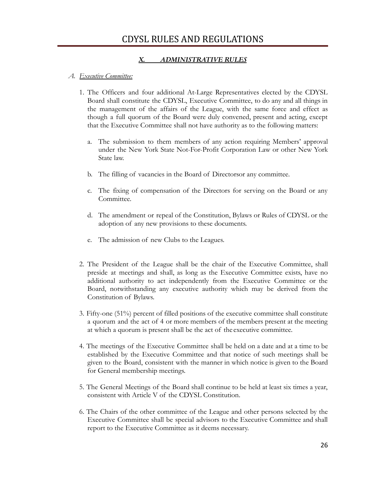#### *X. ADMINISTRATIVE RULES*

#### *A. Executive Committee:*

- 1. The Officers and four additional At-Large Representatives elected by the CDYSL Board shall constitute the CDYSL, Executive Committee, to do any and all things in the management of the affairs of the League, with the same force and effect as though a full quorum of the Board were duly convened, present and acting, except that the Executive Committee shall not have authority as to the following matters:
	- a. The submission to them members of any action requiring Members' approval under the New York State Not-For-Profit Corporation Law or other New York State law.
	- b. The filling of vacancies in the Board of Directorsor any committee.
	- c. The fixing of compensation of the Directors for serving on the Board or any Committee.
	- d. The amendment or repeal of the Constitution, Bylaws or Rules of CDYSL or the adoption of any new provisions to these documents.
	- e. The admission of new Clubs to the Leagues.
- 2. The President of the League shall be the chair of the Executive Committee, shall preside at meetings and shall, as long as the Executive Committee exists, have no additional authority to act independently from the Executive Committee or the Board, notwithstanding any executive authority which may be derived from the Constitution of Bylaws.
- 3. Fifty-one (51%) percent of filled positions of the executive committee shall constitute a quorum and the act of 4 or more members of the members present at the meeting at which a quorum is present shall be the act of the executive committee.
- 4. The meetings of the Executive Committee shall be held on a date and at a time to be established by the Executive Committee and that notice of such meetings shall be given to the Board, consistent with the manner in which notice is given to the Board for General membership meetings.
- 5. The General Meetings of the Board shall continue to be held at least six times a year, consistent with Article V of the CDYSL Constitution.
- 6. The Chairs of the other committee of the League and other persons selected by the Executive Committee shall be special advisors to the Executive Committee and shall report to the Executive Committee as it deems necessary.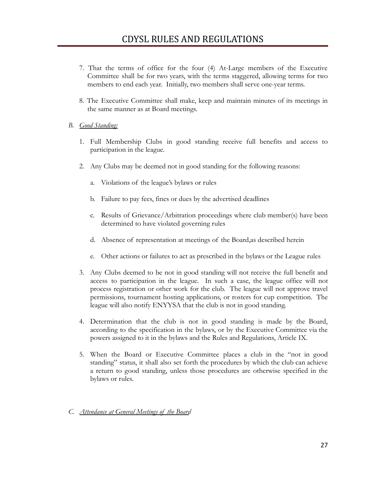- 7. That the terms of office for the four (4) At-Large members of the Executive Committee shall be for two years, with the terms staggered, allowing terms for two members to end each year. Initially, two members shall serve one-year terms.
- 8. The Executive Committee shall make, keep and maintain minutes of its meetings in the same manner as at Board meetings.

#### *B. Good Standing:*

- 1. Full Membership Clubs in good standing receive full benefits and access to participation in the league.
- 2. Any Clubs may be deemed not in good standing for the following reasons:
	- a. Violations of the league's bylaws or rules
	- b. Failure to pay fees, fines or dues by the advertised deadlines
	- c. Results of Grievance/Arbitration proceedings where club member(s) have been determined to have violated governing rules
	- d. Absence of representation at meetings of the Board,as described herein
	- e. Other actions or failures to act as prescribed in the bylaws or the League rules
- 3. Any Clubs deemed to be not in good standing will not receive the full benefit and access to participation in the league. In such a case, the league office will not process registration or other work for the club. The league will not approve travel permissions, tournament hosting applications, or rosters for cup competition. The league will also notify ENYYSA that the club is not in good standing.
- 4. Determination that the club is not in good standing is made by the Board, according to the specification in the bylaws, or by the Executive Committee via the powers assigned to it in the bylaws and the Rules and Regulations, Article IX.
- 5. When the Board or Executive Committee places a club in the "not in good standing" status, it shall also set forth the procedures by which the club can achieve a return to good standing, unless those procedures are otherwise specified in the bylaws or rules.
- *C. Attendance at General Meetings of the Board*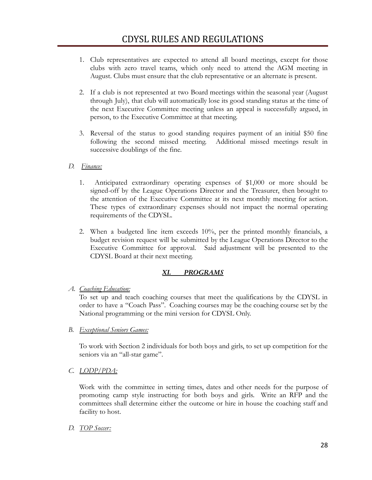- 1. Club representatives are expected to attend all board meetings, except for those clubs with zero travel teams, which only need to attend the AGM meeting in August. Clubs must ensure that the club representative or an alternate is present.
- 2. If a club is not represented at two Board meetings within the seasonal year (August through July), that club will automatically lose its good standing status at the time of the next Executive Committee meeting unless an appeal is successfully argued, in person, to the Executive Committee at that meeting.
- 3. Reversal of the status to good standing requires payment of an initial \$50 fine following the second missed meeting. Additional missed meetings result in successive doublings of the fine.
- *D. Finance:*
	- 1. Anticipated extraordinary operating expenses of \$1,000 or more should be signed-off by the League Operations Director and the Treasurer, then brought to the attention of the Executive Committee at its next monthly meeting for action. These types of extraordinary expenses should not impact the normal operating requirements of the CDYSL.
	- 2. When a budgeted line item exceeds 10%, per the printed monthly financials, a budget revision request will be submitted by the League Operations Director to the Executive Committee for approval. Said adjustment will be presented to the CDYSL Board at their next meeting.

#### *XI. PROGRAMS*

*A. Coaching Education:*

To set up and teach coaching courses that meet the qualifications by the CDYSL in order to have a "Coach Pass". Coaching courses may be the coaching course set by the National programming or the mini version for CDYSL Only.

*B. Exceptional Seniors Games:*

To work with Section 2 individuals for both boys and girls, to set up competition for the seniors via an "all-star game".

*C. LODP/PDA:*

Work with the committee in setting times, dates and other needs for the purpose of promoting camp style instructing for both boys and girls. Write an RFP and the committees shall determine either the outcome or hire in house the coaching staff and facility to host.

*D. TOP Soccer:*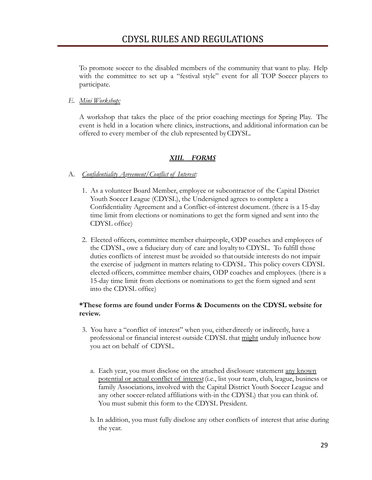To promote soccer to the disabled members of the community that want to play. Help with the committee to set up a "festival style" event for all TOP Soccer players to participate.

#### *E. Mini Workshop:*

A workshop that takes the place of the prior coaching meetings for Spring Play. The event is held in a location where clinics, instructions, and additional information can be offered to every member of the club represented byCDYSL.

#### *XIII. FORMS*

#### A. *Confidentiality Agreement/Conflict of Interest:*

- 1. As a volunteer Board Member, employee or subcontractor of the Capital District Youth Soccer League (CDYSL), the Undersigned agrees to complete a Confidentiality Agreement and a Conflict-of-interest document. (there is a 15-day time limit from elections or nominations to get the form signed and sent into the CDYSL office)
- 2. Elected officers, committee member chairpeople, ODP coaches and employees of the CDYSL, owe a fiduciary duty of care and loyalty to CDYSL. To fulfill those duties conflicts of interest must be avoided so thatoutside interests do not impair the exercise of judgment in matters relating to CDYSL. This policy covers CDYSL elected officers, committee member chairs, ODP coaches and employees. (there is a 15-day time limit from elections or nominations to get the form signed and sent into the CDYSL office)

#### **\*These forms are found under Forms & Documents on the CDYSL website for review.**

- 3. You have a "conflict of interest" when you, eitherdirectly or indirectly, have a professional or financial interest outside CDYSL that might unduly influence how you act on behalf of CDYSL.
	- a. Each year, you must disclose on the attached disclosure statement any known potential or actual conflict of interest(i.e., list your team, club, league, business or family Associations, involved with the Capital District Youth Soccer League and any other soccer-related affiliations with-in the CDYSL) that you can think of. You must submit this form to the CDYSL President.
	- b. In addition, you must fully disclose any other conflicts of interest that arise during the year.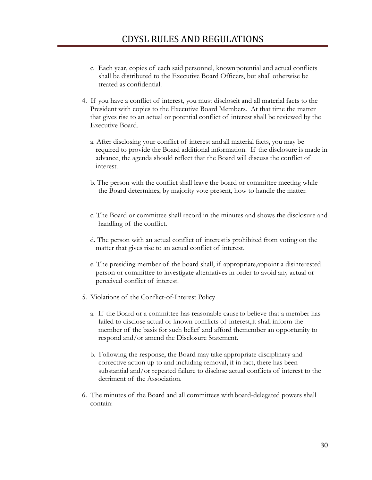- c. Each year, copies of each said personnel, knownpotential and actual conflicts shall be distributed to the Executive Board Officers, but shall otherwise be treated as confidential.
- 4. If you have a conflict of interest, you must discloseit and all material facts to the President with copies to the Executive Board Members. At that time the matter that gives rise to an actual or potential conflict of interest shall be reviewed by the Executive Board.
	- a. After disclosing your conflict of interest andall material facts, you may be required to provide the Board additional information. If the disclosure is made in advance, the agenda should reflect that the Board will discuss the conflict of interest.
	- b. The person with the conflict shall leave the board or committee meeting while the Board determines, by majority vote present, how to handle the matter.
	- c. The Board or committee shall record in the minutes and shows the disclosure and handling of the conflict.
	- d. The person with an actual conflict of interestis prohibited from voting on the matter that gives rise to an actual conflict of interest.
	- e. The presiding member of the board shall, if appropriate,appoint a disinterested person or committee to investigate alternatives in order to avoid any actual or perceived conflict of interest.
- 5. Violations of the Conflict-of-Interest Policy
	- a. If the Board or a committee has reasonable cause to believe that a member has failed to disclose actual or known conflicts of interest, it shall inform the member of the basis for such belief and afford themember an opportunity to respond and/or amend the Disclosure Statement.
	- b. Following the response, the Board may take appropriate disciplinary and corrective action up to and including removal, if in fact, there has been substantial and/or repeated failure to disclose actual conflicts of interest to the detriment of the Association.
- 6. The minutes of the Board and all committees with board-delegated powers shall contain: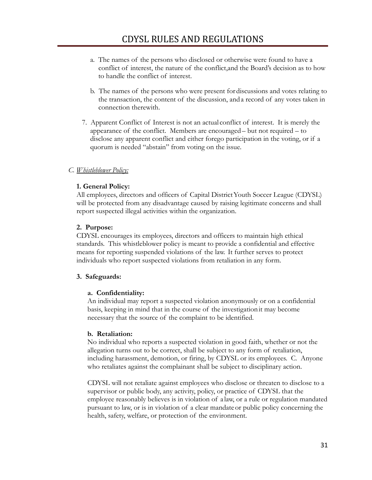- a. The names of the persons who disclosed or otherwise were found to have a conflict of interest, the nature of the conflict,and the Board's decision as to how to handle the conflict of interest.
- b. The names of the persons who were present for discussions and votes relating to the transaction, the content of the discussion, and a record of any votes taken in connection therewith.
- 7. Apparent Conflict of Interest is not an actual conflict of interest. It is merely the appearance of the conflict. Members are encouraged– but not required – to disclose any apparent conflict and either forego participation in the voting, or if a quorum is needed "abstain" from voting on the issue.

#### *C. Whistleblower Policy:*

#### **1. General Policy:**

All employees, directors and officers of Capital DistrictYouth Soccer League (CDYSL) will be protected from any disadvantage caused by raising legitimate concerns and shall report suspected illegal activities within the organization.

#### **2. Purpose:**

CDYSL encourages its employees, directors and officers to maintain high ethical standards. This whistleblower policy is meant to provide a confidential and effective means for reporting suspended violations of the law. It further serves to protect individuals who report suspected violations from retaliation in any form.

#### **3. Safeguards:**

#### **a. Confidentiality:**

An individual may report a suspected violation anonymously or on a confidential basis, keeping in mind that in the course of the investigationit may become necessary that the source of the complaint to be identified.

#### **b. Retaliation:**

No individual who reports a suspected violation in good faith, whether or not the allegation turns out to be correct, shall be subject to any form of retaliation, including harassment, demotion, or firing, by CDYSL or its employees. C. Anyone who retaliates against the complainant shall be subject to disciplinary action.

CDYSL will not retaliate against employees who disclose or threaten to disclose to a supervisor or public body, any activity, policy, or practice of CDYSL that the employee reasonably believes is in violation of a law, or a rule or regulation mandated pursuant to law, or is in violation of a clear mandateor public policy concerning the health, safety, welfare, or protection of the environment.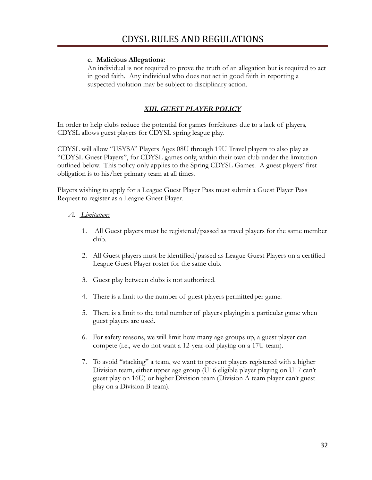#### **c. Malicious Allegations:**

An individual is not required to prove the truth of an allegation but is required to act in good faith. Any individual who does not act in good faith in reporting a suspected violation may be subject to disciplinary action.

#### *XIII. GUEST PLAYER POLICY*

In order to help clubs reduce the potential for games forfeitures due to a lack of players, CDYSL allows guest players for CDYSL spring league play.

CDYSL will allow "USYSA" Players Ages 08U through 19U Travel players to also play as "CDYSL Guest Players", for CDYSL games only, within their own club under the limitation outlined below. This policy only applies to the Spring CDYSL Games. A guest players' first obligation is to his/her primary team at all times.

Players wishing to apply for a League Guest Player Pass must submit a Guest Player Pass Request to register as a League Guest Player.

#### *A. Limitations*

- 1. All Guest players must be registered/passed as travel players for the same member club.
- 2. All Guest players must be identified/passed as League Guest Players on a certified League Guest Player roster for the same club.
- 3. Guest play between clubs is not authorized.
- 4. There is a limit to the number of guest players permittedper game.
- 5. There is a limit to the total number of players playing in a particular game when guest players are used.
- 6. For safety reasons, we will limit how many age groups up, a guest player can compete (i.e., we do not want a 12-year-old playing on a 17U team).
- 7. To avoid "stacking" a team, we want to prevent players registered with a higher Division team, either upper age group (U16 eligible player playing on U17 can't guest play on 16U) or higher Division team (Division A team player can't guest play on a Division B team).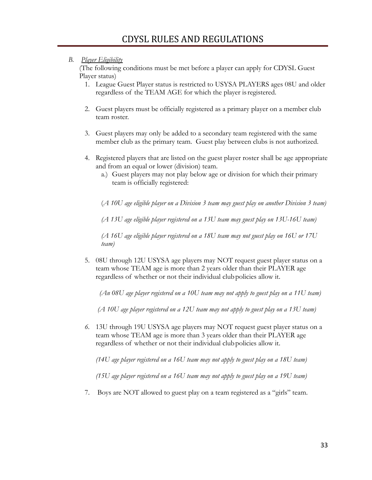#### *B. Player Eligibility*

(The following conditions must be met before a player can apply for CDYSL Guest Player status)

- 1. League Guest Player status is restricted to USYSA PLAYERS ages 08U and older regardless of the TEAM AGE for which the player isregistered.
- 2. Guest players must be officially registered as a primary player on a member club team roster.
- 3. Guest players may only be added to a secondary team registered with the same member club as the primary team. Guest play between clubs is not authorized.
- 4. Registered players that are listed on the guest player roster shall be age appropriate and from an equal or lower (division) team.
	- a.) Guest players may not play below age or division for which their primary team is officially registered:

(*A 10U age eligible player on a Division 3 team may guest play on another Division 3 team)*

*(A 13U age eligible player registered on a 13U team may guest play on 13U-16U team)*

*(A 16U age eligible player registered on a 18U team may not guest play on 16U or 17U team)*

5. 08U through 12U USYSA age players may NOT request guest player status on a team whose TEAM age is more than 2 years older than their PLAYER age regardless of whether or not their individual clubpolicies allow it.

*(An 08U age player registered on a 10U team may not apply to guest play on a 11U team)*

*(A 10U age player registered on a 12U team may not apply to guest play on a 13U team)*

*6.* 13U through 19U USYSA age players may NOT request guest player status on a team whose TEAM age is more than 3 years older than their PLAYER age regardless of whether or not their individual clubpolicies allow it.

*(14U age player registered on a 16U team may not apply to guest play on a 18U team)*

*(15U age player registered on a 16U team may not apply to guest play on a 19U team)*

7. Boys are NOT allowed to guest play on a team registered as a "girls" team.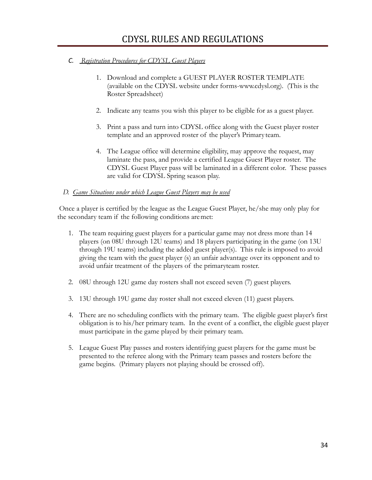#### *C. Registration Procedures for CDYSL Guest Players*

- 1. Download and complete a GUEST PLAYER ROSTER TEMPLATE (available on the CDYSL website under forms-www.cdysl.org). (This is the Roster Spreadsheet)
- 2. Indicate any teams you wish this player to be eligible for as a guest player.
- 3. Print a pass and turn into CDYSL office along with the Guest player roster template and an approved roster of the player's Primary team.
- 4. The League office will determine eligibility, may approve the request, may laminate the pass, and provide a certified League Guest Player roster. The CDYSL Guest Player pass will be laminated in a different color. These passes are valid for CDYSL Spring season play.

#### *D. Game Situations under which League Guest Players may be used*

Once a player is certified by the league as the League Guest Player, he/she may only play for the secondary team if the following conditions aremet:

- 1. The team requiring guest players for a particular game may not dress more than 14 players (on 08U through 12U teams) and 18 players participating in the game (on 13U through 19U teams) including the added guest player(s). This rule is imposed to avoid giving the team with the guest player (s) an unfair advantage over its opponent and to avoid unfair treatment of the players of the primaryteam roster.
- 2. 08U through 12U game day rosters shall not exceed seven (7) guest players.
- 3. 13U through 19U game day roster shall not exceed eleven (11) guest players.
- 4. There are no scheduling conflicts with the primary team. The eligible guest player's first obligation is to his/her primary team. In the event of a conflict, the eligible guest player must participate in the game played by their primary team.
- 5. League Guest Play passes and rosters identifying guest players for the game must be presented to the referee along with the Primary team passes and rosters before the game begins. (Primary players not playing should be crossed off).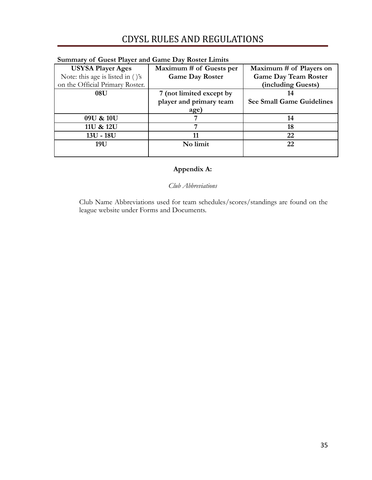| Sunniary of Gaest Flaver and Game Day Roster Linnes |                          |                                  |  |  |  |  |
|-----------------------------------------------------|--------------------------|----------------------------------|--|--|--|--|
| <b>USYSA Player Ages</b>                            | Maximum # of Guests per  | Maximum # of Players on          |  |  |  |  |
| Note: this age is listed in $()$ 's                 | <b>Game Day Roster</b>   | <b>Game Day Team Roster</b>      |  |  |  |  |
| on the Official Primary Roster.                     |                          | (including Guests)               |  |  |  |  |
| 08U                                                 | 7 (not limited except by |                                  |  |  |  |  |
|                                                     | player and primary team  | <b>See Small Game Guidelines</b> |  |  |  |  |
|                                                     | age)                     |                                  |  |  |  |  |
| 09U & 10U                                           |                          | 14                               |  |  |  |  |
| 11U & 12U                                           |                          | 18                               |  |  |  |  |
| $13U - 18U$                                         |                          | 22                               |  |  |  |  |
| 19U                                                 | No limit                 | 22                               |  |  |  |  |
|                                                     |                          |                                  |  |  |  |  |

#### **Summary of Guest Player and Game Day Roster Limits**

### **Appendix A:**

*Club Abbreviations*

Club Name Abbreviations used for team schedules/scores/standings are found on the league website under Forms and Documents.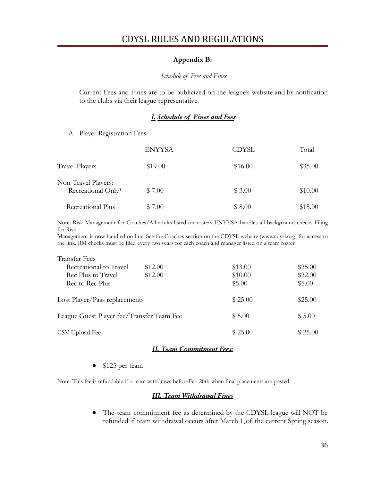#### **Appendix B:**

#### *Schedule of Fees and Fines*

Current Fees and Fines are to be publicized on the league's website and by notification to the clubs via their league representative.

#### *I. Schedule of Fines and Fees*

A. Player Registration Fees:

|                                           | <b>ENYYSA</b> | <b>CDYSL</b> | Total   |
|-------------------------------------------|---------------|--------------|---------|
| Travel Players                            | \$19.00       | \$16.00      | \$35.00 |
| Non-Travel Players:<br>Recreational Only* | \$7.00        | \$3.00       | \$10.00 |
| Recreational Plus                         | \$7.00        | \$8.00       | \$15.00 |

Note: Risk Management for Coaches/All adults listed on rosters ENYYSA handles all background checks Filing for Risk

Management is now handled on-line. See the Coaches section on the CDYSL website (www.cdysl.org) for access to the link. RM checks must be filed every two years for each coach and manager listed on a team roster.

| <b>Transfer Fees</b>                      |         |         |         |  |
|-------------------------------------------|---------|---------|---------|--|
| Recreational to Travel                    | \$12.00 | \$13.00 | \$25.00 |  |
| Rec Plus to Travel                        | \$12.00 | \$10.00 | \$22.00 |  |
| Rec to Rec Plus                           |         | \$5.00  | \$5.00  |  |
| Lost Player/Pass replacements             |         | \$25.00 | \$25.00 |  |
| League Guest Player fee/Transfer Team Fee |         | \$5.00  | \$5.00  |  |
| CSV Upload Fee                            |         | \$25.00 | \$25.00 |  |

#### *II. Team Commitment Fees:*

● \$125 per team

Note: This fee is refundable if a team withdraws beforeFeb 28th when final placements are posted.

#### *III. Team Withdrawal Fines*

● The team commitment fee as determined by the CDYSL league will NOT be refunded if team withdrawal occurs after March 1,of the current Spring season.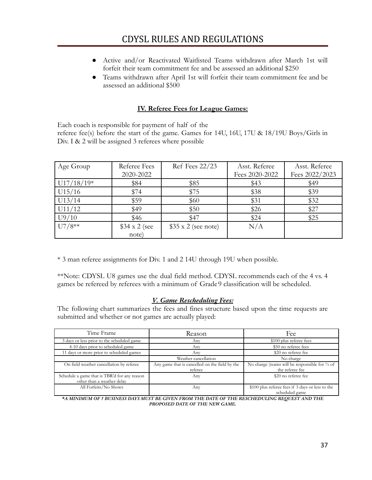- Active and/or Reactivated Waitlisted Teams withdrawn after March 1st will forfeit their team commitment fee and be assessed an additional \$250
- Teams withdrawn after April 1st will forfeit their team commitment fee and be assessed an additional \$500

#### **IV. Referee Fees for League Games:**

Each coach is responsible for payment of half of the referee fee(s) before the start of the game. Games for 14U, 16U, 17U & 18/19U Boys/Girls in Div. I & 2 will be assigned 3 referees where possible

| Age Group    | Referee Fees        | Ref Fees 22/23            | Asst. Referee  | Asst. Referee  |
|--------------|---------------------|---------------------------|----------------|----------------|
|              | 2020-2022           |                           | Fees 2020-2022 | Fees 2022/2023 |
| $U17/18/19*$ | \$84                | \$85                      | \$43           | \$49           |
| U15/16       | \$74                | \$75                      | \$38           | \$39           |
| U13/14       | \$59                | \$60                      | \$31           | \$32           |
| U11/12       | \$49                | \$50                      | \$26           | \$27           |
| U9/10        | \$46                | \$47                      | \$24           | \$25           |
| $U7/8**$     | $$34 \times 2$ (see | $$35 \times 2$ (see note) | N/A            |                |
|              | note)               |                           |                |                |

\* 3 man referee assignments for Div. 1 and 2 14U through 19U when possible.

\*\*Note: CDYSL U8 games use the dual field method. CDYSL recommends each of the 4 vs. 4 games be refereed by referees with a minimum of Grade 9 classification will be scheduled.

#### *V. Game Rescheduling Fees:*

The following chart summarizes the fees and fines structure based upon the time requests are submitted and whether or not games are actually played:

| Time Frame                                                                 | Reason                                                    | Fee                                                                |  |
|----------------------------------------------------------------------------|-----------------------------------------------------------|--------------------------------------------------------------------|--|
| 3 days or less prior to the scheduled game                                 | Any                                                       | \$100 plus referee fees                                            |  |
| 4-10 days prior to scheduled game                                          | Any                                                       | \$50 no referee fees                                               |  |
| 11 days or more prior to scheduled games                                   | Any                                                       | \$20 no referee fee                                                |  |
|                                                                            | Weather cancellation                                      | No charge                                                          |  |
| On field weather cancellation by referee                                   | Any game that is cancelled on the field by the<br>referee | No charge (teams will be responsible for 1/2 of<br>the referee fee |  |
| Schedule a game that is TBR'd for any reason<br>other than a weather delay | Any                                                       | \$20 no referee fee                                                |  |
| All Forfeits/No Shows                                                      | Any                                                       | \$100 plus referee fees if 3 days or less to the<br>scheduled game |  |

*\*A MINIMUM OF 5 BUSINESS DAYS MUST BE GIVEN FROM THE DATE OF THE RESCHEDULING REQUEST AND THE PROPOSED DATE OF THE NEW GAME.*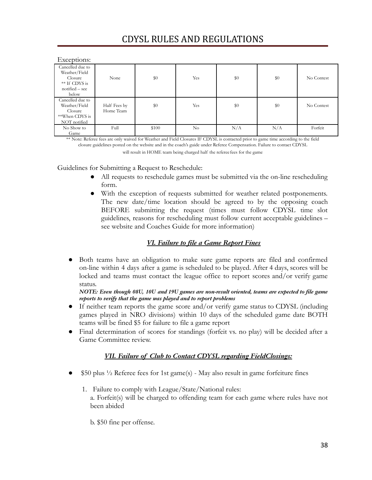#### Exceptions:

| <b>EXCEPTIONS.</b>                                                                         |                           |       |          |     |     |            |
|--------------------------------------------------------------------------------------------|---------------------------|-------|----------|-----|-----|------------|
| Cancelled due to<br>Weather/Field<br>Closure<br>** If CDYS is<br>$notified - see$<br>below | None                      | \$0   | Yes      | \$0 | \$0 | No Contest |
| Cancelled due to<br>Weather/Field<br>Closure<br>**When CDYS is<br>NOT notified             | Half Fees by<br>Home Team | \$0   | Yes      | \$0 | \$0 | No Contest |
| No Show to<br>Game                                                                         | Full                      | \$100 | $\rm No$ | N/A | N/A | Forfeit    |

\*\* Note: Referee fees are only waived for Weather and Field Closures IF CDYSL is contacted prior to game time according to the field closure guidelines posted on the website and in the coach's guide under Referee Compensation. Failure to contact CDYSL

will result in HOME team being charged half the referee fees for the game

Guidelines for Submitting a Request to Reschedule:

- All requests to reschedule games must be submitted via the on-line rescheduling form.
- With the exception of requests submitted for weather related postponements. The new date/time location should be agreed to by the opposing coach BEFORE submitting the request (times must follow CDYSL time slot guidelines, reasons for rescheduling must follow current acceptable guidelines – see website and Coaches Guide for more information)

#### *VI. Failure to file a Game Report Fines*

● Both teams have an obligation to make sure game reports are filed and confirmed on-line within 4 days after a game is scheduled to be played. After 4 days, scores will be locked and teams must contact the league office to report scores and/or verify game status.

*NOTE: Even though 08U, 10U and 19U games are non-result oriented, teams are expected to file game reports to verify that the game was played and to report problems*

- If neither team reports the game score and/or verify game status to CDYSL (including games played in NRO divisions) within 10 days of the scheduled game date BOTH teams will be fined \$5 for failure to file a game report
- Final determination of scores for standings (forfeit vs. no play) will be decided after a Game Committee review.

#### *VII. Failure of Club to Contact CDYSL regarding FieldClosings:*

- $$50$  plus  $\frac{1}{2}$  Referee fees for 1st game(s) May also result in game forfeiture fines
	- 1. Failure to comply with League/State/National rules: a. Forfeit(s) will be charged to offending team for each game where rules have not been abided
		- b. \$50 fine per offense.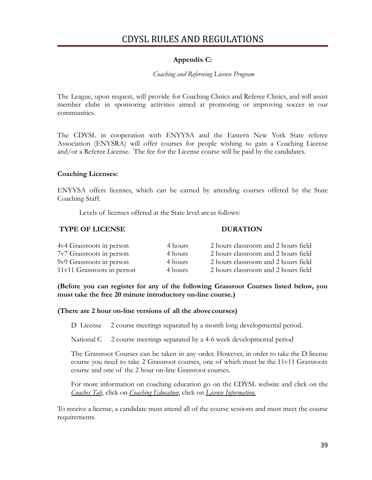#### **Appendix C:**

#### *Coaching and Refereeing License Program*

The League, upon request, will provide for Coaching Clinics and Referee Clinics, and will assist member clubs in sponsoring activities aimed at promoting or improving soccer in our communities.

The CDYSL in cooperation with ENYYSA and the Eastern New York State referee Association (ENYSRA) will offer courses for people wishing to gain a Coaching License and/or a Referee License. The fee for the License course will be paid by the candidates.

#### **Coaching Licenses:**

ENYYSA offers licenses, which can be earned by attending courses offered by the State Coaching Staff.

Levels of licenses offered at the State level are as follows:

#### **TYPE OF LICENSE DURATION**

| 4v4 Grassroots in person   | 4 hours | 2 hours classroom and 2 hours field |
|----------------------------|---------|-------------------------------------|
| 7v7 Grassroots in person   | 4 hours | 2 hours classroom and 2 hours field |
| 9v9 Grassroots in person   | 4 hours | 2 hours classroom and 2 hours field |
| 11v11 Grassroots in person | 4 hours | 2 hours classroom and 2 hours field |

**(Before you can register for any of the following Grassroot Courses listed below, you must take the free 20 minute introductory on-line course.)**

#### **(There are 2 hour on-line versions of all the abovecourses)**

D License 2 course meetings separated by a month long developmental period.

National C 2 course meetings separated by a 4-6 week developmental period

The Grassroot Courses can be taken in any order. However, in order to take the D license course you need to take 2 Grassroot courses, one of which must be the 11v11 Grassroots course and one of the 2 hour on-line Grassroot courses.

For more information on coaching education go on the CDYSL website and click on the *Coaches Tab*, click on *Coaching Education*, click on *License Information.*

To receive a license, a candidate must attend all of the course sessions and must meet the course requirements.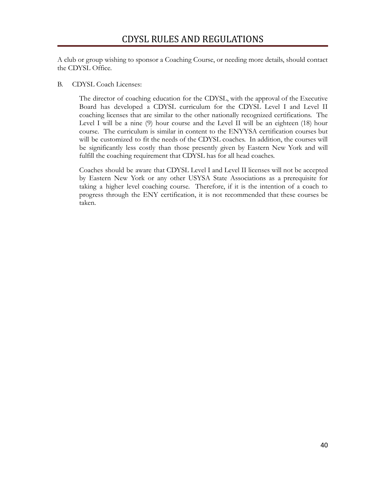A club or group wishing to sponsor a Coaching Course, or needing more details, should contact the CDYSL Office.

#### B. CDYSL Coach Licenses:

The director of coaching education for the CDYSL, with the approval of the Executive Board has developed a CDYSL curriculum for the CDYSL Level I and Level II coaching licenses that are similar to the other nationally recognized certifications. The Level I will be a nine (9) hour course and the Level II will be an eighteen (18) hour course. The curriculum is similar in content to the ENYYSA certification courses but will be customized to fit the needs of the CDYSL coaches. In addition, the courses will be significantly less costly than those presently given by Eastern New York and will fulfill the coaching requirement that CDYSL has for all head coaches.

Coaches should be aware that CDYSL Level I and Level II licenses will not be accepted by Eastern New York or any other USYSA State Associations as a prerequisite for taking a higher level coaching course. Therefore, if it is the intention of a coach to progress through the ENY certification, it is not recommended that these courses be taken.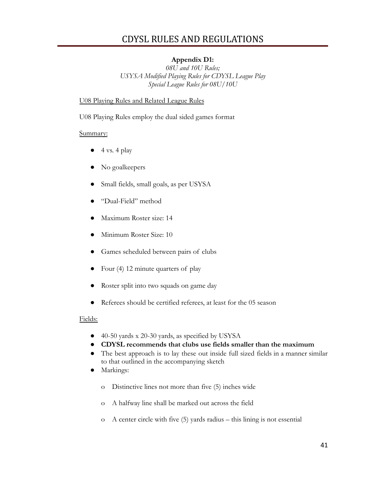### **Appendix D1:**

*08U and 10U Rules; USYSA Modified Playing Rules for CDYSL League Play Special League Rules for 08U/10U*

#### U08 Playing Rules and Related League Rules

U08 Playing Rules employ the dual sided games format

#### Summary:

- $4 \text{ vs. } 4 \text{ play}$
- No goalkeepers
- Small fields, small goals, as per USYSA
- "Dual-Field" method
- Maximum Roster size: 14
- Minimum Roster Size: 10
- Games scheduled between pairs of clubs
- Four (4) 12 minute quarters of play
- Roster split into two squads on game day
- Referees should be certified referees, at least for the 05 season

#### Fields:

- 40-50 yards x 20-30 yards, as specified by USYSA
- **CDYSL recommends that clubs use fields smaller than the maximum**
- The best approach is to lay these out inside full sized fields in a manner similar to that outlined in the accompanying sketch
- Markings:
	- o Distinctive lines not more than five (5) inches wide
	- o A halfway line shall be marked out across the field
	- o A center circle with five (5) yards radius this lining is not essential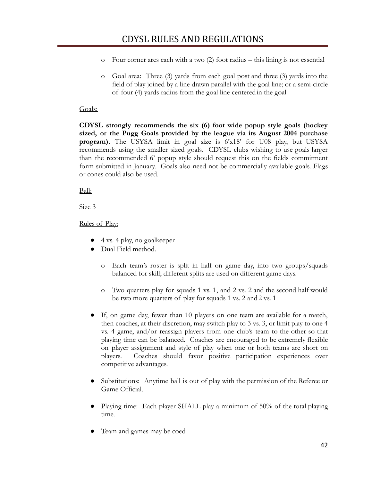- o Four corner arcs each with a two (2) foot radius this lining is not essential
- o Goal area: Three (3) yards from each goal post and three (3) yards into the field of play joined by a line drawn parallel with the goal line; or a semi-circle of four (4) yards radius from the goal line centeredin the goal

#### Goals:

**CDYSL strongly recommends the six (6) foot wide popup style goals (hockey sized, or the Pugg Goals provided by the league via its August 2004 purchase program).** The USYSA limit in goal size is 6'x18' for U08 play, but USYSA recommends using the smaller sized goals. CDYSL clubs wishing to use goals larger than the recommended 6' popup style should request this on the fields commitment form submitted in January. Goals also need not be commercially available goals. Flags or cones could also be used.

Ball:

Size 3

Rules of Play:

- 4 vs. 4 play, no goalkeeper
- Dual Field method.
	- o Each team's roster is split in half on game day, into two groups/squads balanced for skill; different splits are used on different game days.
	- o Two quarters play for squads 1 vs. 1, and 2 vs. 2 and the second half would be two more quarters of play for squads 1 vs. 2 and2 vs. 1
- If, on game day, fewer than 10 players on one team are available for a match, then coaches, at their discretion, may switch play to 3 vs. 3, or limit play to one 4 vs. 4 game, and/or reassign players from one club's team to the other so that playing time can be balanced. Coaches are encouraged to be extremely flexible on player assignment and style of play when one or both teams are short on players. Coaches should favor positive participation experiences over competitive advantages.
- Substitutions: Anytime ball is out of play with the permission of the Referee or Game Official.
- Playing time: Each player SHALL play a minimum of 50% of the total playing time.
- Team and games may be coed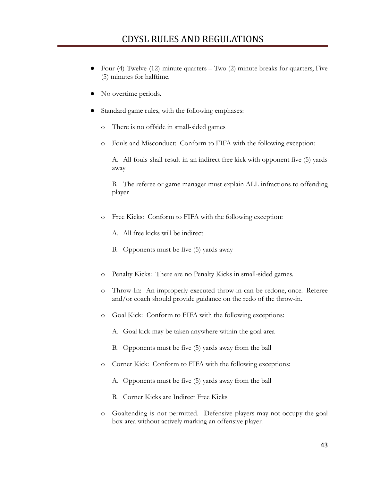- Four (4) Twelve (12) minute quarters  $-$  Two (2) minute breaks for quarters, Five (5) minutes for halftime.
- No overtime periods.
- Standard game rules, with the following emphases:
	- o There is no offside in small-sided games
	- o Fouls and Misconduct: Conform to FIFA with the following exception:

A. All fouls shall result in an indirect free kick with opponent five (5) yards away

B. The referee or game manager must explain ALL infractions to offending player

- o Free Kicks: Conform to FIFA with the following exception:
	- A. All free kicks will be indirect
	- B. Opponents must be five (5) yards away
- o Penalty Kicks: There are no Penalty Kicks in small-sided games.
- o Throw-In: An improperly executed throw-in can be redone, once. Referee and/or coach should provide guidance on the redo of the throw-in.
- o Goal Kick: Conform to FIFA with the following exceptions:
	- A. Goal kick may be taken anywhere within the goal area
	- B. Opponents must be five (5) yards away from the ball
- o Corner Kick: Conform to FIFA with the following exceptions:
	- A. Opponents must be five (5) yards away from the ball
	- B. Corner Kicks are Indirect Free Kicks
- o Goaltending is not permitted. Defensive players may not occupy the goal box area without actively marking an offensive player.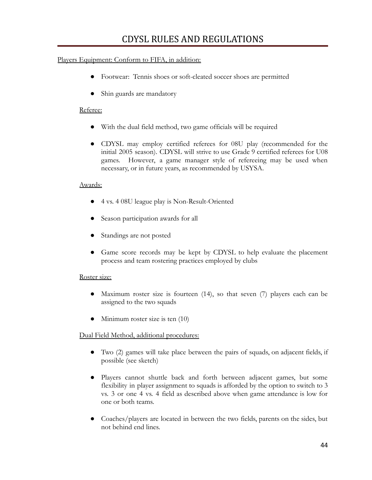#### Players Equipment: Conform to FIFA, in addition:

- Footwear: Tennis shoes or soft-cleated soccer shoes are permitted
- Shin guards are mandatory

#### Referee:

- With the dual field method, two game officials will be required
- CDYSL may employ certified referees for 08U play (recommended for the initial 2005 season). CDYSL will strive to use Grade 9 certified referees for U08 games. However, a game manager style of refereeing may be used when necessary, or in future years, as recommended by USYSA.

#### Awards:

- 4 vs. 4 08U league play is Non-Result-Oriented
- Season participation awards for all
- Standings are not posted
- Game score records may be kept by CDYSL to help evaluate the placement process and team rostering practices employed by clubs

#### Roster size:

- Maximum roster size is fourteen (14), so that seven (7) players each can be assigned to the two squads
- Minimum roster size is ten  $(10)$

#### Dual Field Method, additional procedures:

- Two (2) games will take place between the pairs of squads, on adjacent fields, if possible (see sketch)
- Players cannot shuttle back and forth between adjacent games, but some flexibility in player assignment to squads is afforded by the option to switch to 3 vs. 3 or one 4 vs. 4 field as described above when game attendance is low for one or both teams.
- Coaches/players are located in between the two fields, parents on the sides, but not behind end lines.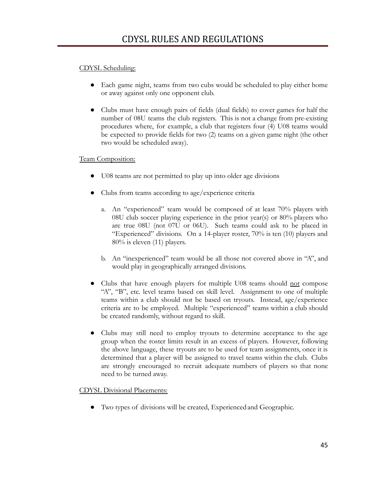#### CDYSL Scheduling:

- Each game night, teams from two cubs would be scheduled to play either home or away against only one opponent club.
- Clubs must have enough pairs of fields (dual fields) to cover games for half the number of 08U teams the club registers. This is not a change from pre-existing procedures where, for example, a club that registers four (4) U08 teams would be expected to provide fields for two (2) teams on a given game night (the other two would be scheduled away).

#### Team Composition:

- U08 teams are not permitted to play up into older age divisions
- Clubs from teams according to age/experience criteria
	- a. An "experienced" team would be composed of at least 70% players with 08U club soccer playing experience in the prior year(s) or 80% players who are true 08U (not 07U or 06U). Such teams could ask to be placed in "Experienced" divisions. On a 14-player roster, 70% is ten (10) players and 80% is eleven (11) players.
	- b. An "inexperienced" team would be all those not covered above in "A", and would play in geographically arranged divisions.
- Clubs that have enough players for multiple U08 teams should not compose "A", "B", etc. level teams based on skill level. Assignment to one of multiple teams within a club should not be based on tryouts. Instead, age/experience criteria are to be employed. Multiple "experienced" teams within a club should be created randomly, without regard to skill.
- Clubs may still need to employ tryouts to determine acceptance to the age group when the roster limits result in an excess of players. However, following the above language, these tryouts are to be used for team assignments, once it is determined that a player will be assigned to travel teams within the club. Clubs are strongly encouraged to recruit adequate numbers of players so that none need to be turned away.

#### CDYSL Divisional Placements:

● Two types of divisions will be created, Experienced and Geographic.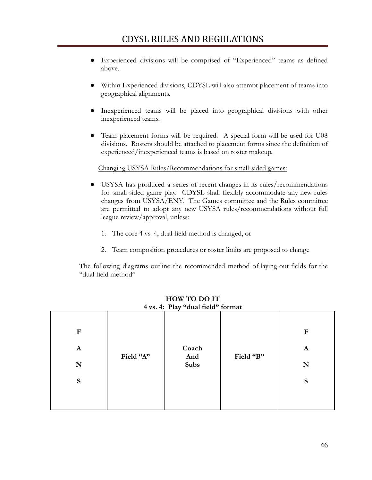- Experienced divisions will be comprised of "Experienced" teams as defined above.
- Within Experienced divisions, CDYSL will also attempt placement of teams into geographical alignments.
- Inexperienced teams will be placed into geographical divisions with other inexperienced teams.
- Team placement forms will be required. A special form will be used for U08 divisions. Rosters should be attached to placement forms since the definition of experienced/inexperienced teams is based on roster makeup.

#### Changing USYSA Rules/Recommendations for small-sided games:

- USYSA has produced a series of recent changes in its rules/recommendations for small-sided game play. CDYSL shall flexibly accommodate any new rules changes from USYSA/ENY. The Games committee and the Rules committee are permitted to adopt any new USYSA rules/recommendations without full league review/approval, unless:
	- 1. The core 4 vs. 4, dual field method is changed, or
	- 2. Team composition procedures or roster limits are proposed to change

The following diagrams outline the recommended method of laying out fields for the "dual field method"

|                                                                                                                      | 4 vs. 4: Play "dual field" format |  |  |  |  |  |  |  |
|----------------------------------------------------------------------------------------------------------------------|-----------------------------------|--|--|--|--|--|--|--|
| $\mathbf F$<br>F<br>Coach<br>$\mathbf A$<br>$\mathbf A$<br>Field "A"<br>Field "B"<br>And<br>Subs<br>N<br>N<br>S<br>S |                                   |  |  |  |  |  |  |  |

**HOW TO DO IT 4 vs. 4: Play "dual field" format**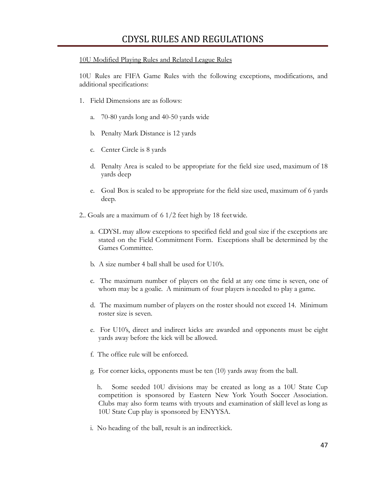#### 10U Modified Playing Rules and Related League Rules

10U Rules are FIFA Game Rules with the following exceptions, modifications, and additional specifications:

- 1. Field Dimensions are as follows:
	- a. 70-80 yards long and 40-50 yards wide
	- b. Penalty Mark Distance is 12 yards
	- c. Center Circle is 8 yards
	- d. Penalty Area is scaled to be appropriate for the field size used, maximum of 18 yards deep
	- e. Goal Box is scaled to be appropriate for the field size used, maximum of 6 yards deep.
- 2.. Goals are a maximum of 6 1/2 feet high by 18 feetwide.
	- a. CDYSL may allow exceptions to specified field and goal size if the exceptions are stated on the Field Commitment Form. Exceptions shall be determined by the Games Committee.
	- b. A size number 4 ball shall be used for U10's.
	- c. The maximum number of players on the field at any one time is seven, one of whom may be a goalie. A minimum of four players is needed to play a game.
	- d. The maximum number of players on the roster should not exceed 14. Minimum roster size is seven.
	- e. For U10's, direct and indirect kicks are awarded and opponents must be eight yards away before the kick will be allowed.
	- f. The office rule will be enforced.
	- g. For corner kicks, opponents must be ten (10) yards away from the ball.

h. Some seeded 10U divisions may be created as long as a 10U State Cup competition is sponsored by Eastern New York Youth Soccer Association. Clubs may also form teams with tryouts and examination of skill level as long as 10U State Cup play is sponsored by ENYYSA.

i. No heading of the ball, result is an indirect kick.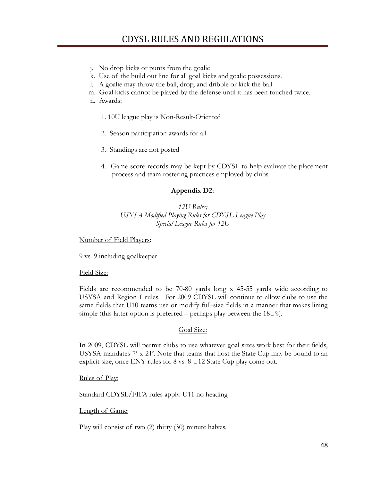- j. No drop kicks or punts from the goalie
- k. Use of the build out line for all goal kicks andgoalie possessions.
- l. A goalie may throw the ball, drop, and dribble or kick the ball
- m. Goal kicks cannot be played by the defense until it has been touched twice.

n. Awards:

- 1. 10U league play is Non-Result-Oriented
- 2. Season participation awards for all
- 3. Standings are not posted
- 4. Game score records may be kept by CDYSL to help evaluate the placement process and team rostering practices employed by clubs.

#### **Appendix D2:**

#### *12U Rules; USYSA Modified Playing Rules for CDYSL League Play Special League Rules for 12U*

#### Number of Field Players:

9 vs. 9 including goalkeeper

#### Field Size:

Fields are recommended to be 70-80 yards long x 45-55 yards wide according to USYSA and Region I rules. For 2009 CDYSL will continue to allow clubs to use the same fields that U10 teams use or modify full-size fields in a manner that makes lining simple (this latter option is preferred – perhaps play between the 18U's).

#### Goal Size:

In 2009, CDYSL will permit clubs to use whatever goal sizes work best for their fields, USYSA mandates  $7' \times 21'$ . Note that teams that host the State Cup may be bound to an explicit size, once ENY rules for 8 vs. 8 U12 State Cup play come out.

#### Rules of Play:

Standard CDYSL/FIFA rules apply. U11 no heading.

#### Length of Game:

Play will consist of two (2) thirty (30) minute halves.